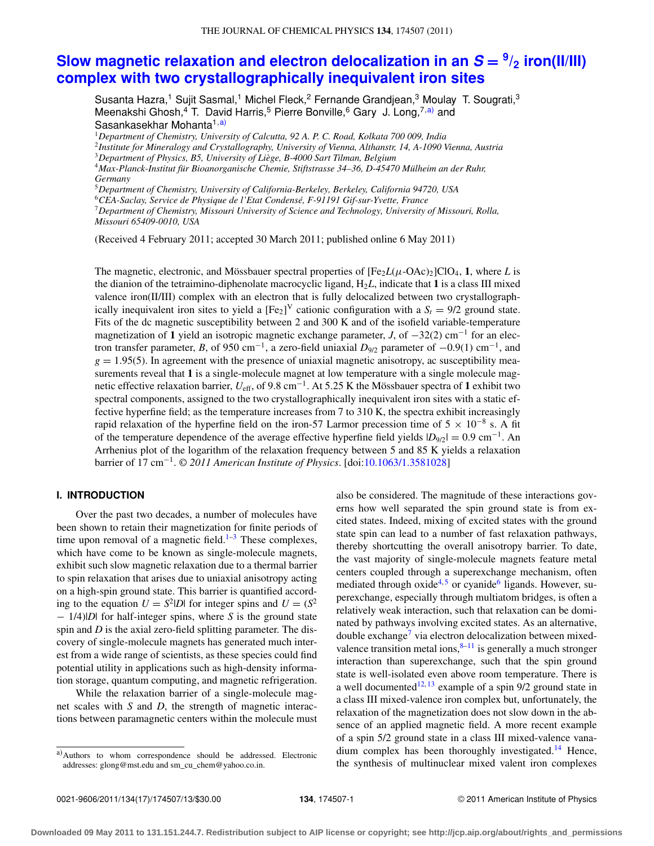# **[Slow magnetic relaxation and electron delocalization in an](http://dx.doi.org/10.1063/1.3581028)**  $S = \frac{9}{2}$  **iron(II/III) [complex with two crystallographically inequivalent iron sites](http://dx.doi.org/10.1063/1.3581028)**

Susanta Hazra,<sup>1</sup> Sujit Sasmal,<sup>1</sup> Michel Fleck,<sup>2</sup> Fernande Grandjean,<sup>3</sup> Moulay T. Sougrati,<sup>3</sup> Meenakshi Ghosh,<sup>4</sup> T. David Harris,<sup>5</sup> Pierre Bonville,<sup>6</sup> Gary J. Long,<sup>7[,a\)](#page-0-0)</sup> and Sasankasekhar Mohanta<sup>1[,a\)](#page-0-0)</sup>

<sup>1</sup>*Department of Chemistry, University of Calcutta, 92 A. P. C. Road, Kolkata 700 009, India*

<sup>2</sup>*Institute for Mineralogy and Crystallography, University of Vienna, Althanstr, 14, A-1090 Vienna, Austria*

<sup>3</sup>*Department of Physics, B5, University of Liège, B-4000 Sart Tilman, Belgium*

<sup>4</sup>*Max-Planck-Institut für Bioanorganische Chemie, Stiftstrasse 34–36, D-45470 Mülheim an der Ruhr, Germany*

<sup>5</sup>*Department of Chemistry, University of California-Berkeley, Berkeley, California 94720, USA*

<sup>6</sup>*CEA-Saclay, Service de Physique de l'Etat Condensé, F-91191 Gif-sur-Yvette, France*

<sup>7</sup>*Department of Chemistry, Missouri University of Science and Technology, University of Missouri, Rolla, Missouri 65409-0010, USA*

(Received 4 February 2011; accepted 30 March 2011; published online 6 May 2011)

The magnetic, electronic, and Mössbauer spectral properties of  $[Fe<sub>2</sub>L(\mu$ -OAc)<sub>2</sub>]ClO<sub>4</sub>, **1**, where *L* is the dianion of the tetraimino-diphenolate macrocyclic ligand, H2*L*, indicate that **1** is a class III mixed valence iron(II/III) complex with an electron that is fully delocalized between two crystallographically inequivalent iron sites to yield a  $[Fe_2]^\text{V}$  cationic configuration with a  $S_t = 9/2$  ground state. Fits of the dc magnetic susceptibility between 2 and 300 K and of the isofield variable-temperature magnetization of **<sup>1</sup>** yield an isotropic magnetic exchange parameter, *<sup>J</sup>*, of <sup>−</sup>32(2) cm−<sup>1</sup> for an electron transfer parameter, *<sup>B</sup>*, of 950 cm−1, a zero-field uniaxial *<sup>D</sup>*9/2 parameter of <sup>−</sup>0.9(1) cm−1, and  $g = 1.95(5)$ . In agreement with the presence of uniaxial magnetic anisotropy, ac susceptibility measurements reveal that **1** is a single-molecule magnet at low temperature with a single molecule magnetic effective relaxation barrier, *U*eff, of 9.8 cm−1. At 5.25 K the Mössbauer spectra of **1** exhibit two spectral components, assigned to the two crystallographically inequivalent iron sites with a static effective hyperfine field; as the temperature increases from 7 to 310 K, the spectra exhibit increasingly rapid relaxation of the hyperfine field on the iron-57 Larmor precession time of  $5 \times 10^{-8}$  s. A fit of the temperature dependence of the average effective hyperfine field yields |*D*9/2| <sup>=</sup> 0.9 cm−1. An Arrhenius plot of the logarithm of the relaxation frequency between 5 and 85 K yields a relaxation barrier of 17 cm−1. *© 2011 American Institute of Physics*. [doi[:10.1063/1.3581028\]](http://dx.doi.org/10.1063/1.3581028)

# **I. INTRODUCTION**

Over the past two decades, a number of molecules have been shown to retain their magnetization for finite periods of time upon removal of a magnetic field.<sup>[1–](#page-11-0)[3](#page-11-1)</sup> These complexes, which have come to be known as single-molecule magnets, exhibit such slow magnetic relaxation due to a thermal barrier to spin relaxation that arises due to uniaxial anisotropy acting on a high-spin ground state. This barrier is quantified according to the equation  $U = S^2|D|$  for integer spins and  $U = (S^2)$ − 1/4)|*D*| for half-integer spins, where *S* is the ground state spin and *D* is the axial zero-field splitting parameter. The discovery of single-molecule magnets has generated much interest from a wide range of scientists, as these species could find potential utility in applications such as high-density information storage, quantum computing, and magnetic refrigeration.

While the relaxation barrier of a single-molecule magnet scales with *S* and *D*, the strength of magnetic interactions between paramagnetic centers within the molecule must also be considered. The magnitude of these interactions governs how well separated the spin ground state is from excited states. Indeed, mixing of excited states with the ground state spin can lead to a number of fast relaxation pathways, thereby shortcutting the overall anisotropy barrier. To date, the vast majority of single-molecule magnets feature metal centers coupled through a superexchange mechanism, often mediated through oxide<sup>4,[5](#page-11-3)</sup> or cyanide<sup>6</sup> ligands. However, superexchange, especially through multiatom bridges, is often a relatively weak interaction, such that relaxation can be dominated by pathways involving excited states. As an alternative, double exchange<sup>7</sup> via electron delocalization between mixedvalence transition metal ions, $8-11$  $8-11$  is generally a much stronger interaction than superexchange, such that the spin ground state is well-isolated even above room temperature. There is a well documented<sup>12, [13](#page-11-9)</sup> example of a spin  $9/2$  ground state in a class III mixed-valence iron complex but, unfortunately, the relaxation of the magnetization does not slow down in the absence of an applied magnetic field. A more recent example of a spin 5/2 ground state in a class III mixed-valence vanadium complex has been thoroughly investigated.<sup>14</sup> Hence, the synthesis of multinuclear mixed valent iron complexes

<span id="page-0-0"></span>a)Authors to whom correspondence should be addressed. Electronic addresses: [glong@mst.edu](mailto: glong@mst.edu) and [sm\\_cu\\_chem@yahoo.co.in.](mailto: sm_cu_chem@yahoo.co.in)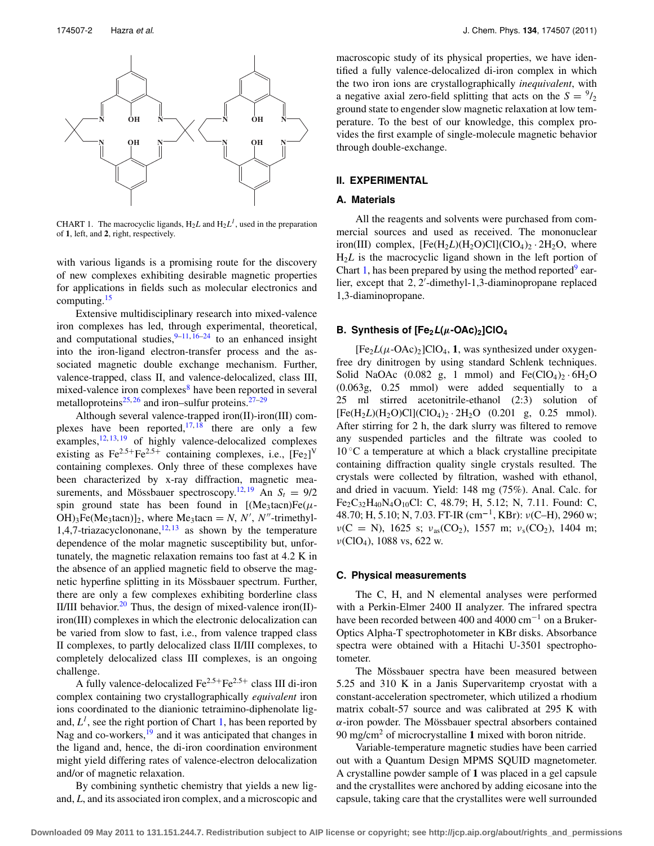<span id="page-1-0"></span>

CHART 1. The macrocyclic ligands,  $H_2L$  and  $H_2L<sup>1</sup>$ , used in the preparation of **1**, left, and **2**, right, respectively.

with various ligands is a promising route for the discovery of new complexes exhibiting desirable magnetic properties for applications in fields such as molecular electronics and computing.<sup>[15](#page-11-11)</sup>

Extensive multidisciplinary research into mixed-valence iron complexes has led, through experimental, theoretical, and computational studies,  $9-11, 16-24$  $9-11, 16-24$  $9-11, 16-24$  $9-11, 16-24$  $9-11, 16-24$  to an enhanced insight into the iron-ligand electron-transfer process and the associated magnetic double exchange mechanism. Further, valence-trapped, class II, and valence-delocalized, class III, mixed-valence iron complexes<sup>[8](#page-11-6)</sup> have been reported in several metalloproteins<sup>25, [26](#page-12-3)</sup> and iron–sulfur proteins.<sup>[27–](#page-12-4)[29](#page-12-5)</sup>

Although several valence-trapped iron(II)-iron(III) complexes have been reported,  $17, 18$  $17, 18$  there are only a few examples,  $\frac{12, 13, 19}{ }$  $\frac{12, 13, 19}{ }$  $\frac{12, 13, 19}{ }$  $\frac{12, 13, 19}{ }$  $\frac{12, 13, 19}{ }$  $\frac{12, 13, 19}{ }$  $\frac{12, 13, 19}{ }$  of highly valence-delocalized complexes existing as  $Fe^{2.5+}Fe^{2.5+}$  containing complexes, i.e.,  $[Fe_2]^\text{V}$ containing complexes. Only three of these complexes have been characterized by x-ray diffraction, magnetic mea-surements, and Mössbauer spectroscopy.<sup>12, [19](#page-12-8)</sup> An  $S_t = 9/2$ spin ground state has been found in  $[(Me<sub>3</sub> tacn)Fe(\mu OH$ <sub>3</sub>Fe(Me<sub>3</sub>tacn)]<sub>2</sub>, where Me<sub>3</sub>tacn = *N*, *N'*, *N''*-trimethyl-1,4,7-triazacyclononane, $12,13$  $12,13$  as shown by the temperature dependence of the molar magnetic susceptibility but, unfortunately, the magnetic relaxation remains too fast at 4.2 K in the absence of an applied magnetic field to observe the magnetic hyperfine splitting in its Mössbauer spectrum. Further, there are only a few complexes exhibiting borderline class II/III behavior.<sup>[20](#page-12-9)</sup> Thus, the design of mixed-valence iron(II)iron(III) complexes in which the electronic delocalization can be varied from slow to fast, i.e., from valence trapped class II complexes, to partly delocalized class II/III complexes, to completely delocalized class III complexes, is an ongoing challenge.

A fully valence-delocalized  $\text{Fe}^{2.5+}\text{Fe}^{2.5+}$  class III di-iron complex containing two crystallographically *equivalent* iron ions coordinated to the dianionic tetraimino-diphenolate ligand,  $L^1$ , see the right portion of Chart [1,](#page-1-0) has been reported by Nag and co-workers,<sup>19</sup> and it was anticipated that changes in the ligand and, hence, the di-iron coordination environment might yield differing rates of valence-electron delocalization and/or of magnetic relaxation.

By combining synthetic chemistry that yields a new ligand, *L*, and its associated iron complex, and a microscopic and macroscopic study of its physical properties, we have identified a fully valence-delocalized di-iron complex in which the two iron ions are crystallographically *inequivalent*, with a negative axial zero-field splitting that acts on the  $S = \frac{9}{2}$ ground state to engender slow magnetic relaxation at low temperature. To the best of our knowledge, this complex provides the first example of single-molecule magnetic behavior through double-exchange.

#### **II. EXPERIMENTAL**

## **A. Materials**

All the reagents and solvents were purchased from commercial sources and used as received. The mononuclear iron(III) complex,  $[Fe(H<sub>2</sub> L)(H<sub>2</sub>O)Cl](ClO<sub>4</sub>)<sub>2</sub> \cdot 2H<sub>2</sub>O$ , where H<sub>2</sub>*L* is the macrocyclic ligand shown in the left portion of Chart [1,](#page-1-0) has been prepared by using the method reported  $\degree$  earlier, except that 2, 2'-dimethyl-1,3-diaminopropane replaced 1,3-diaminopropane.

# **B.** Synthesis of  $[Fe<sub>2</sub>L(μ$ -OAc)<sub>2</sub>]ClO<sub>4</sub>

 $[Fe<sub>2</sub>L(\mu$ -OAc)<sub>2</sub>]ClO<sub>4</sub>, **1**, was synthesized under oxygenfree dry dinitrogen by using standard Schlenk techniques. Solid NaOAc (0.082 g, 1 mmol) and  $Fe(CIO<sub>4</sub>)<sub>2</sub> \cdot 6H<sub>2</sub>O$ (0.063g, 0.25 mmol) were added sequentially to a 25 ml stirred acetonitrile-ethanol (2:3) solution of  $[Fe(H<sub>2</sub>*L*)(H<sub>2</sub>*O*)Cl](ClO<sub>4</sub>)<sub>2</sub> \cdot 2H<sub>2</sub>O (0.201 g, 0.25 mmol).$ After stirring for 2 h, the dark slurry was filtered to remove any suspended particles and the filtrate was cooled to  $10\degree$ C a temperature at which a black crystalline precipitate containing diffraction quality single crystals resulted. The crystals were collected by filtration, washed with ethanol, and dried in vacuum. Yield: 148 mg (75%). Anal. Calc. for Fe2C32H40N4O10Cl: C, 48.79; H, 5.12; N, 7.11. Found: C, 48.70; H, 5.10; N, 7.03. FT-IR (cm**−**1, KBr): ν(C–H), 2960 w;  $\nu(C = N)$ , 1625 s;  $\nu_{as}(CO_2)$ , 1557 m;  $\nu_s(CO_2)$ , 1404 m; ν(ClO4), 1088 vs, 622 w.

## **C. Physical measurements**

The C, H, and N elemental analyses were performed with a Perkin-Elmer 2400 II analyzer. The infrared spectra have been recorded between 400 and 4000 cm−<sup>1</sup> on a Bruker-Optics Alpha-T spectrophotometer in KBr disks. Absorbance spectra were obtained with a Hitachi U-3501 spectrophotometer.

The Mössbauer spectra have been measured between 5.25 and 310 K in a Janis Supervaritemp cryostat with a constant-acceleration spectrometer, which utilized a rhodium matrix cobalt-57 source and was calibrated at 295 K with α-iron powder. The Mössbauer spectral absorbers contained 90 mg/cm2 of microcrystalline **1** mixed with boron nitride.

Variable-temperature magnetic studies have been carried out with a Quantum Design MPMS SQUID magnetometer. A crystalline powder sample of **1** was placed in a gel capsule and the crystallites were anchored by adding eicosane into the capsule, taking care that the crystallites were well surrounded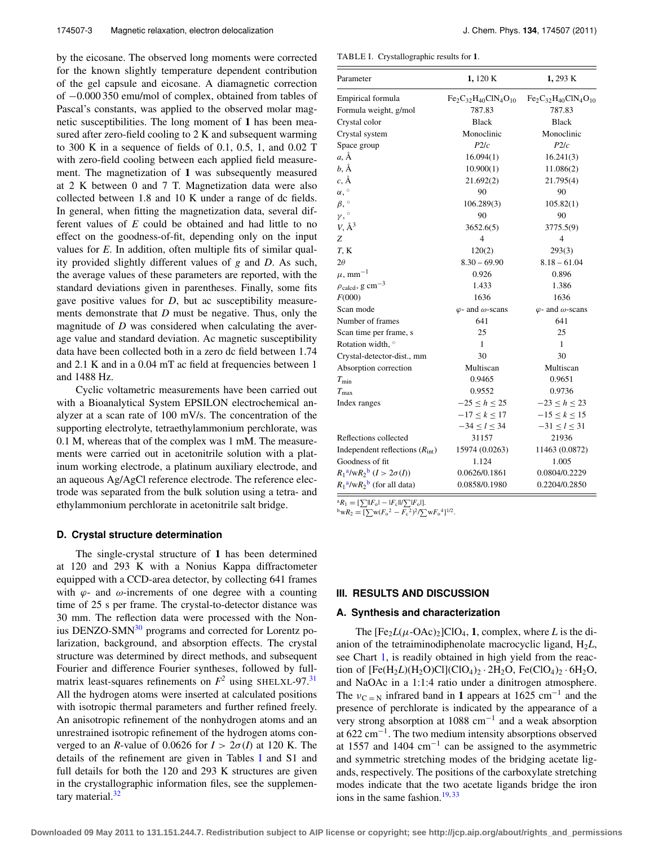by the eicosane. The observed long moments were corrected for the known slightly temperature dependent contribution of the gel capsule and eicosane. A diamagnetic correction of −0.000 350 emu/mol of complex, obtained from tables of Pascal's constants, was applied to the observed molar magnetic susceptibilities. The long moment of **1** has been measured after zero-field cooling to 2 K and subsequent warming to 300 K in a sequence of fields of 0.1, 0.5, 1, and 0.02 T with zero-field cooling between each applied field measurement. The magnetization of **1** was subsequently measured at 2 K between 0 and 7 T. Magnetization data were also collected between 1.8 and 10 K under a range of dc fields. In general, when fitting the magnetization data, several different values of *E* could be obtained and had little to no effect on the goodness-of-fit, depending only on the input values for *E*. In addition, often multiple fits of similar quality provided slightly different values of *g* and *D*. As such, the average values of these parameters are reported, with the standard deviations given in parentheses. Finally, some fits gave positive values for *D*, but ac susceptibility measurements demonstrate that *D* must be negative. Thus, only the magnitude of *D* was considered when calculating the average value and standard deviation. Ac magnetic susceptibility data have been collected both in a zero dc field between 1.74 and 2.1 K and in a 0.04 mT ac field at frequencies between 1 and 1488 Hz.

Cyclic voltametric measurements have been carried out with a Bioanalytical System EPSILON electrochemical analyzer at a scan rate of 100 mV/s. The concentration of the supporting electrolyte, tetraethylammonium perchlorate, was 0.1 M, whereas that of the complex was 1 mM. The measurements were carried out in acetonitrile solution with a platinum working electrode, a platinum auxiliary electrode, and an aqueous Ag/AgCl reference electrode. The reference electrode was separated from the bulk solution using a tetra- and ethylammonium perchlorate in acetonitrile salt bridge.

#### **D. Crystal structure determination**

The single-crystal structure of **1** has been determined at 120 and 293 K with a Nonius Kappa diffractometer equipped with a CCD-area detector, by collecting 641 frames with  $\varphi$ - and  $\omega$ -increments of one degree with a counting time of 25 s per frame. The crystal-to-detector distance was 30 mm. The reflection data were processed with the Non-ius DENZO-SMN<sup>[30](#page-12-10)</sup> programs and corrected for Lorentz polarization, background, and absorption effects. The crystal structure was determined by direct methods, and subsequent Fourier and difference Fourier syntheses, followed by fullmatrix least-squares refinements on  $F^2$  using SHELXL-97.<sup>[31](#page-12-11)</sup> All the hydrogen atoms were inserted at calculated positions with isotropic thermal parameters and further refined freely. An anisotropic refinement of the nonhydrogen atoms and an unrestrained isotropic refinement of the hydrogen atoms converged to an *R*-value of 0.0626 for  $I > 2\sigma(I)$  at 120 K. The details of the refinement are given in Tables [I](#page-2-0) and S1 and full details for both the 120 and 293 K structures are given in the crystallographic information files, see the supplementary material.<sup>32</sup>

<span id="page-2-0"></span>TABLE I. Crystallographic results for **1**.

| Parameter                                  | 1,120 K                         | 1,293 K                         |  |
|--------------------------------------------|---------------------------------|---------------------------------|--|
| Empirical formula                          | $Fe2C32H40ClN4O10$              | $Fe2C32H40ClN4O10$              |  |
| Formula weight, g/mol                      | 787.83                          | 787.83                          |  |
| Crystal color                              | <b>Black</b>                    | <b>Black</b>                    |  |
| Crystal system                             | Monoclinic                      | Monoclinic                      |  |
| Space group                                | P2/c                            | P2/c                            |  |
| $a, \AA$                                   | 16.094(1)                       | 16.241(3)                       |  |
| b, Å                                       | 10.900(1)                       | 11.086(2)                       |  |
| $c, \AA$                                   | 21.692(2)                       | 21.795(4)                       |  |
| $\alpha,$ $\degree$                        | 90                              | 90                              |  |
| $\beta,$ $^{\circ}$                        | 106.289(3)                      | 105.82(1)                       |  |
| $\gamma,$                                  | 90                              | 90                              |  |
| $V, \AA^3$                                 | 3652.6(5)                       | 3775.5(9)                       |  |
| Ζ                                          | 4                               | 4                               |  |
| $T$ , $K$                                  | 120(2)                          | 293(3)                          |  |
| $2\theta$                                  | $8.30 - 69.90$                  | $8.18 - 61.04$                  |  |
| $\mu$ , mm <sup>-1</sup>                   | 0.926                           | 0.896                           |  |
| $\rho_{\text{calcd}}$ , g cm <sup>-3</sup> | 1.433                           | 1.386                           |  |
| F(000)                                     | 1636                            | 1636                            |  |
| Scan mode                                  | $\varphi$ - and $\omega$ -scans | $\varphi$ - and $\omega$ -scans |  |
| Number of frames                           | 641                             | 641                             |  |
| Scan time per frame, s                     | 25                              | 25                              |  |
| Rotation width, °                          | $\mathbf{1}$                    | $\mathbf{1}$                    |  |
| Crystal-detector-dist., mm                 | 30                              | 30                              |  |
| Absorption correction                      | Multiscan                       | Multiscan                       |  |
| $T_{\min}$                                 | 0.9465                          | 0.9651                          |  |
| $T_{\rm max}$                              | 0.9552                          | 0.9736                          |  |
| Index ranges                               | $-25 \le h \le 25$              | $-23 \le h \le 23$              |  |
|                                            | $-17 \leq k \leq 17$            | $-15 \le k \le 15$              |  |
|                                            | $-34 \le l \le 34$              | $-31 \le l \le 31$              |  |
| Reflections collected                      | 31157                           | 21936                           |  |
| Independent reflections $(Rint)$           | 15974 (0.0263)                  | 11463 (0.0872)                  |  |
| Goodness of fit                            | 1.124<br>1.005                  |                                 |  |
| $R_1^a/\text{w}R_2^b$ $(I > 2\sigma(I))$   | 0.0626/0.1861<br>0.0804/0.2229  |                                 |  |
| $R_1^{\,a}/wR_2^{\,b}$ (for all data)      | 0.0858/0.1980                   | 0.2204/0.2850                   |  |

<span id="page-2-1"></span> ${}^{a}R_{1} = [\sum ||F_{0}| - |F_{c}||/\sum |F_{0}|].$ 

<span id="page-2-2"></span> ${}^{\text{b}}$ w $R_2 = [\sum w (F_0^2 - F_c^2)^2 / \sum w F_0^4]^{1/2}.$ 

## **III. RESULTS AND DISCUSSION**

#### **A. Synthesis and characterization**

The  $[Fe<sub>2</sub>L(\mu$ -OAc)<sub>2</sub>]ClO<sub>4</sub>, **1**, complex, where *L* is the dianion of the tetraiminodiphenolate macrocyclic ligand, H2*L*, see Chart [1,](#page-1-0) is readily obtained in high yield from the reaction of  $[Fe(H<sub>2</sub> L)(H<sub>2</sub>O)Cl](ClO<sub>4</sub>)<sub>2</sub> \cdot 2H<sub>2</sub>O, Fe(ClO<sub>4</sub>)<sub>2</sub> \cdot 6H<sub>2</sub>O,$ and NaOAc in a 1:1:4 ratio under a dinitrogen atmosphere. The  $v_{C=N}$  infrared band in **1** appears at 1625 cm<sup>-1</sup> and the presence of perchlorate is indicated by the appearance of a very strong absorption at 1088 cm−<sup>1</sup> and a weak absorption at 622 cm−1. The two medium intensity absorptions observed at 1557 and 1404  $cm^{-1}$  can be assigned to the asymmetric and symmetric stretching modes of the bridging acetate ligands, respectively. The positions of the carboxylate stretching modes indicate that the two acetate ligands bridge the iron ions in the same fashion. $19,33$  $19,33$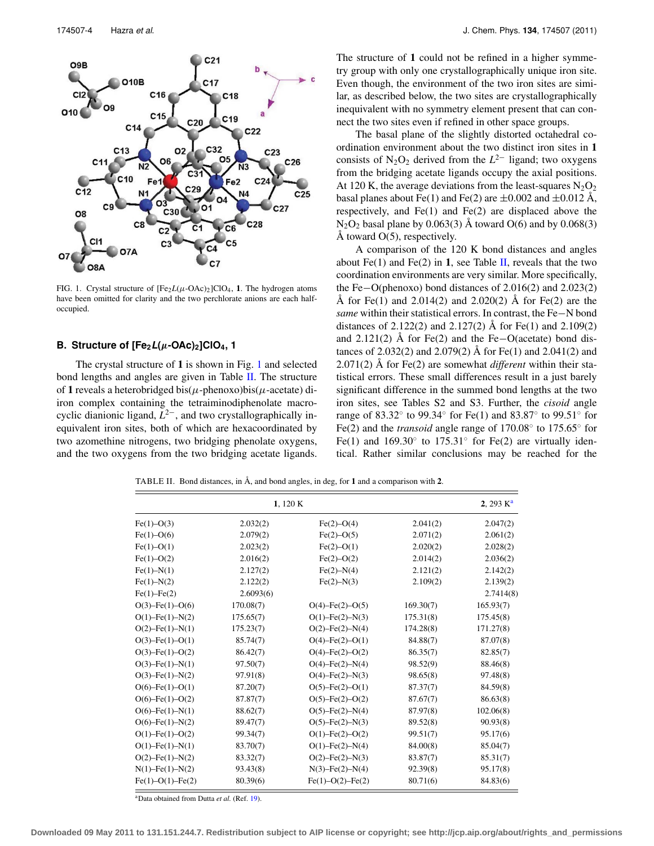<span id="page-3-0"></span>

FIG. 1. Crystal structure of  $[Fe<sub>2</sub>L(\mu-OAc)<sub>2</sub>]ClO<sub>4</sub>$ , 1. The hydrogen atoms have been omitted for clarity and the two perchlorate anions are each halfoccupied.

# **B. Structure of [Fe2L(***μ***-OAc)2]ClO4, 1**

The crystal structure of **1** is shown in Fig. [1](#page-3-0) and selected bond lengths and angles are given in Table [II.](#page-3-1) The structure of 1 reveals a heterobridged bis( $\mu$ -phenoxo)bis( $\mu$ -acetate) diiron complex containing the tetraiminodiphenolate macrocyclic dianionic ligand,  $L^{2-}$ , and two crystallographically inequivalent iron sites, both of which are hexacoordinated by two azomethine nitrogens, two bridging phenolate oxygens, and the two oxygens from the two bridging acetate ligands. The structure of **1** could not be refined in a higher symmetry group with only one crystallographically unique iron site. Even though, the environment of the two iron sites are similar, as described below, the two sites are crystallographically inequivalent with no symmetry element present that can connect the two sites even if refined in other space groups.

The basal plane of the slightly distorted octahedral coordination environment about the two distinct iron sites in **1** consists of N<sub>2</sub>O<sub>2</sub> derived from the  $L^{2-}$  ligand; two oxygens from the bridging acetate ligands occupy the axial positions. At 120 K, the average deviations from the least-squares  $N_2O_2$ basal planes about Fe(1) and Fe(2) are  $\pm 0.002$  and  $\pm 0.012$  Å, respectively, and Fe(1) and Fe(2) are displaced above the  $N_2O_2$  basal plane by 0.063(3) Å toward O(6) and by 0.068(3) Å toward  $O(5)$ , respectively.

A comparison of the 120 K bond distances and angles about Fe(1) and Fe(2) in **1**, see Table [II,](#page-3-1) reveals that the two coordination environments are very similar. More specifically, the Fe−O(phenoxo) bond distances of 2.016(2) and 2.023(2) Å for Fe(1) and  $2.014(2)$  and  $2.020(2)$  Å for Fe(2) are the *same* within their statistical errors. In contrast, the Fe−N bond distances of 2.122(2) and 2.127(2) Å for Fe(1) and 2.109(2) and 2.121(2) Å for Fe(2) and the Fe−O(acetate) bond distances of 2.032(2) and 2.079(2) Å for Fe(1) and 2.041(2) and 2.071(2) Å for Fe(2) are somewhat *different* within their statistical errors. These small differences result in a just barely significant difference in the summed bond lengths at the two iron sites, see Tables S2 and S3. Further, the *cisoid* angle range of 83.32◦ to 99.34◦ for Fe(1) and 83.87◦ to 99.51◦ for Fe(2) and the *transoid* angle range of 170.08◦ to 175.65◦ for Fe(1) and  $169.30°$  to  $175.31°$  for Fe(2) are virtually identical. Rather similar conclusions may be reached for the

<span id="page-3-1"></span>TABLE II. Bond distances, in Å, and bond angles, in deg, for **1** and a comparison with **2**.

|                           | 1,120 K   |                           |           | 2, 293 $K^a$ |  |
|---------------------------|-----------|---------------------------|-----------|--------------|--|
| $Fe(1) - O(3)$            | 2.032(2)  | $Fe(2)-O(4)$              | 2.041(2)  | 2.047(2)     |  |
| $Fe(1)-O(6)$              | 2.079(2)  | $Fe(2) - O(5)$            | 2.071(2)  | 2.061(2)     |  |
| $Fe(1)-O(1)$              | 2.023(2)  | $Fe(2) - O(1)$            | 2.020(2)  | 2.028(2)     |  |
| $Fe(1)-O(2)$              | 2.016(2)  | $Fe(2)-O(2)$              | 2.014(2)  | 2.036(2)     |  |
| $Fe(1) - N(1)$            | 2.127(2)  | $Fe(2) - N(4)$            | 2.121(2)  | 2.142(2)     |  |
| $Fe(1)-N(2)$              | 2.122(2)  | $Fe(2) - N(3)$            | 2.109(2)  | 2.139(2)     |  |
| $Fe(1)$ - $Fe(2)$         | 2.6093(6) |                           |           | 2.7414(8)    |  |
| $O(3)$ -Fe $(1)$ -O $(6)$ | 170.08(7) | $O(4)$ -Fe $(2)$ -O $(5)$ | 169.30(7) | 165.93(7)    |  |
| $O(1)$ -Fe $(1)$ -N $(2)$ | 175.65(7) | $O(1)$ -Fe $(2)$ -N $(3)$ | 175.31(8) | 175.45(8)    |  |
| $O(2)$ -Fe $(1)$ -N $(1)$ | 175.23(7) | $O(2)$ -Fe $(2)$ -N $(4)$ | 174.28(8) | 171.27(8)    |  |
| $O(3)$ -Fe $(1)$ -O $(1)$ | 85.74(7)  | $O(4)$ -Fe $(2)$ -O $(1)$ | 84.88(7)  | 87.07(8)     |  |
| $O(3)$ -Fe $(1)$ -O $(2)$ | 86.42(7)  | $O(4)$ -Fe $(2)$ -O $(2)$ | 86.35(7)  | 82.85(7)     |  |
| $O(3)$ -Fe $(1)$ -N $(1)$ | 97.50(7)  | $O(4)$ -Fe $(2)$ -N $(4)$ | 98.52(9)  | 88.46(8)     |  |
| $O(3)$ -Fe $(1)$ -N $(2)$ | 97.91(8)  | $O(4)$ -Fe $(2)$ -N $(3)$ | 98.65(8)  | 97.48(8)     |  |
| $O(6)$ -Fe $(1)$ -O $(1)$ | 87.20(7)  | $O(5)$ -Fe $(2)$ -O $(1)$ | 87.37(7)  | 84.59(8)     |  |
| $O(6)$ -Fe $(1)$ -O $(2)$ | 87.87(7)  | $O(5)$ -Fe $(2)$ -O $(2)$ | 87.67(7)  | 86.63(8)     |  |
| $O(6)$ -Fe $(1)$ -N $(1)$ | 88.62(7)  | $O(5)$ -Fe $(2)$ -N $(4)$ | 87.97(8)  | 102.06(8)    |  |
| $O(6)$ -Fe $(1)$ -N $(2)$ | 89.47(7)  | $O(5)$ -Fe $(2)$ -N $(3)$ | 89.52(8)  | 90.93(8)     |  |
| $O(1)$ -Fe $(1)$ -O $(2)$ | 99.34(7)  | $O(1)$ -Fe $(2)$ -O $(2)$ | 99.51(7)  | 95.17(6)     |  |
| $O(1)$ -Fe $(1)$ -N $(1)$ | 83.70(7)  | $O(1)$ -Fe $(2)$ -N $(4)$ | 84.00(8)  | 85.04(7)     |  |
| $O(2)$ -Fe $(1)$ -N $(2)$ | 83.32(7)  | $O(2)$ -Fe $(2)$ -N $(3)$ | 83.87(7)  | 85.31(7)     |  |
| $N(1)$ -Fe $(1)$ -N $(2)$ | 93.43(8)  | $N(3)$ -Fe $(2)$ -N $(4)$ | 92.39(8)  | 95.17(8)     |  |
| $Fe(1)-O(1)-Fe(2)$        | 80.39(6)  | $Fe(1) - O(2) - Fe(2)$    | 80.71(6)  | 84.83(6)     |  |

<span id="page-3-2"></span>aData obtained from Dutta *et al.* (Ref. [19\)](#page-12-8).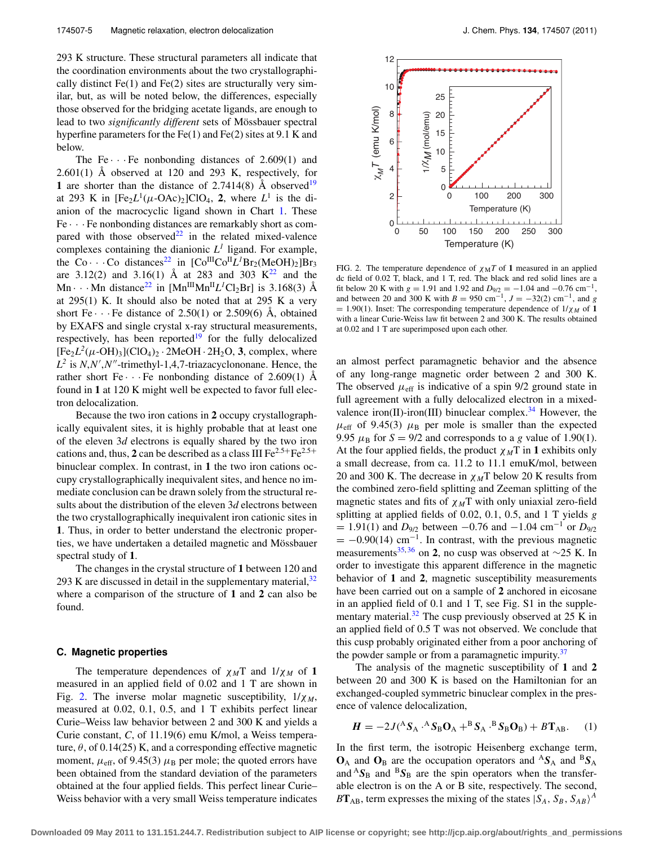293 K structure. These structural parameters all indicate that the coordination environments about the two crystallographically distinct  $Fe(1)$  and  $Fe(2)$  sites are structurally very similar, but, as will be noted below, the differences, especially those observed for the bridging acetate ligands, are enough to lead to two *significantly different* sets of Mössbauer spectral hyperfine parameters for the Fe(1) and Fe(2) sites at 9.1 K and below.

The Fe $\cdots$  Fe nonbonding distances of 2.609(1) and  $2.601(1)$  Å observed at 120 and 293 K, respectively, for **1** are shorter than the distance of 2.7414(8)  $\AA$  observed<sup>[19](#page-12-8)</sup> at 293 K in  $[Fe<sub>2</sub>L<sup>1</sup>(\mu$ -OAc)<sub>2</sub>]ClO<sub>4</sub>, 2, where  $L<sup>1</sup>$  is the dianion of the macrocyclic ligand shown in Chart [1.](#page-1-0) These  $Fe \cdot \cdot \cdot Fe$  nonbonding distances are remarkably short as compared with those observed<sup>22</sup> in the related mixed-valence complexes containing the dianionic  $L<sup>1</sup>$  ligand. For example, the Co $\cdot \cdot \cdot$ Co distances<sup>[22](#page-12-14)</sup> in  $[Co^{III}Co^{II}L^{1}Br_{2}(MeOH)_{2}]Br_{3}$ are 3.12(2) and 3.16(1) Å at 283 and 303  $K^{22}$  $K^{22}$  $K^{22}$  and the  $\text{Mn} \cdot \cdot \text{Mn}$  distance<sup>22</sup> in  $[\text{Mn}^{\text{III}}\text{Mn}^{\text{II}}L^1\text{Cl}_2\text{Br}]$  is 3.168(3) Å at  $295(1)$  K. It should also be noted that at  $295$  K a very short Fe $\cdots$  Fe distance of 2.50(1) or 2.509(6) Å, obtained by EXAFS and single crystal x-ray structural measurements, respectively, has been reported<sup>19</sup> for the fully delocalized  $[Fe<sub>2</sub>L<sup>2</sup>(\mu$ -OH)<sub>3</sub>](ClO<sub>4</sub>)<sub>2</sub> · 2MeOH · 2H<sub>2</sub>O, **3**, complex, where  $L^2$  is  $N, N', N''$ -trimethyl-1,4,7-triazacyclononane. Hence, the rather short Fe $\cdots$  Fe nonbonding distance of 2.609(1) Å found in **1** at 120 K might well be expected to favor full electron delocalization.

Because the two iron cations in **2** occupy crystallographically equivalent sites, it is highly probable that at least one of the eleven 3*d* electrons is equally shared by the two iron cations and, thus,  $2$  can be described as a class III  $Fe^{2.5+}Fe^{2.5+}$ binuclear complex. In contrast, in **1** the two iron cations occupy crystallographically inequivalent sites, and hence no immediate conclusion can be drawn solely from the structural results about the distribution of the eleven 3*d* electrons between the two crystallographically inequivalent iron cationic sites in **1**. Thus, in order to better understand the electronic properties, we have undertaken a detailed magnetic and Mössbauer spectral study of **1**.

The changes in the crystal structure of **1** between 120 and 293 K are discussed in detail in the supplementary material,  $32$ where a comparison of the structure of **1** and **2** can also be found.

## <span id="page-4-1"></span>**C. Magnetic properties**

The temperature dependences of  $\chi_M T$  and  $1/\chi_M$  of 1 measured in an applied field of 0.02 and 1 T are shown in Fig. [2.](#page-4-0) The inverse molar magnetic susceptibility,  $1/\chi_M$ , measured at 0.02, 0.1, 0.5, and 1 T exhibits perfect linear Curie–Weiss law behavior between 2 and 300 K and yields a Curie constant, *C*, of 11.19(6) emu K/mol, a Weiss temperature,  $\theta$ , of 0.14(25) K, and a corresponding effective magnetic moment,  $\mu_{\text{eff}}$ , of 9.45(3)  $\mu_{\text{B}}$  per mole; the quoted errors have been obtained from the standard deviation of the parameters obtained at the four applied fields. This perfect linear Curie– Weiss behavior with a very small Weiss temperature indicates

<span id="page-4-0"></span>

FIG. 2. The temperature dependence of  $\chi_M T$  of 1 measured in an applied dc field of 0.02 T, black, and 1 T, red. The black and red solid lines are a fit below 20 K with  $g = 1.91$  and  $1.92$  and  $D_{9/2} = -1.04$  and  $-0.76$  cm<sup>-1</sup>, and between 20 and 300 K with  $B = 950$  cm<sup>-1</sup>,  $J = -32(2)$  cm<sup>-1</sup>, and *g*  $= 1.90(1)$ . Inset: The corresponding temperature dependence of  $1/\chi_M$  of 1 with a linear Curie-Weiss law fit between 2 and 300 K. The results obtained at 0.02 and 1 T are superimposed upon each other.

an almost perfect paramagnetic behavior and the absence of any long-range magnetic order between 2 and 300 K. The observed  $\mu_{\text{eff}}$  is indicative of a spin 9/2 ground state in full agreement with a fully delocalized electron in a mixed-valence iron(II)-iron(III) binuclear complex.<sup>[34](#page-12-15)</sup> However, the  $\mu_{\text{eff}}$  of 9.45(3)  $\mu_{\text{B}}$  per mole is smaller than the expected 9.95  $\mu$ <sub>B</sub> for *S* = 9/2 and corresponds to a *g* value of 1.90(1). At the four applied fields, the product  $\chi_M$ T in 1 exhibits only a small decrease, from ca. 11.2 to 11.1 emuK/mol, between 20 and 300 K. The decrease in  $\chi_M$ T below 20 K results from the combined zero-field splitting and Zeeman splitting of the magnetic states and fits of  $\chi_M$ T with only uniaxial zero-field splitting at applied fields of 0.02, 0.1, 0.5, and 1 T yields *g*  $= 1.91(1)$  and *D*<sub>9/2</sub> between  $-0.76$  and  $-1.04$  cm<sup>-1</sup> or *D*<sub>9/2</sub>  $= -0.90(14)$  cm<sup>-1</sup>. In contrast, with the previous magnetic measurements<sup>[35,](#page-12-16)[36](#page-12-17)</sup> on **2**, no cusp was observed at  $\sim$ 25 K. In order to investigate this apparent difference in the magnetic behavior of **1** and **2**, magnetic susceptibility measurements have been carried out on a sample of **2** anchored in eicosane in an applied field of 0.1 and 1 T, see Fig. S1 in the supplementary material. $32$  The cusp previously observed at 25 K in an applied field of 0.5 T was not observed. We conclude that this cusp probably originated either from a poor anchoring of the powder sample or from a paramagnetic impurity.<sup>37</sup>

The analysis of the magnetic susceptibility of **1** and **2** between 20 and 300 K is based on the Hamiltonian for an exchanged-coupled symmetric binuclear complex in the presence of valence delocalization,

$$
H = -2J({}^{A}S_{A} \cdot {}^{A}S_{B}O_{A} + {}^{B}S_{A} \cdot {}^{B}S_{B}O_{B}) + B T_{AB}. \tag{1}
$$

In the first term, the isotropic Heisenberg exchange term,  $\mathbf{O}_A$  and  $\mathbf{O}_B$  are the occupation operators and  ${}^A S_A$  and  ${}^B S_A$ and  ${}^{A}S_{B}$  and  ${}^{B}S_{B}$  are the spin operators when the transferable electron is on the A or B site, respectively. The second,  $BT_{AB}$ , term expresses the mixing of the states  $|S_A, S_B, S_{AB}\rangle^A$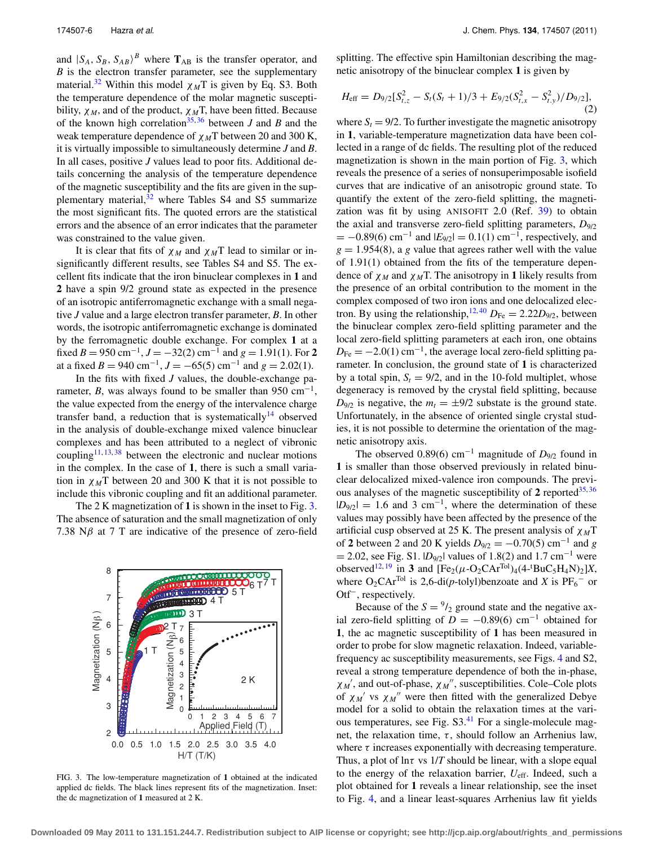and  $|S_A, S_B, S_{AB} \rangle^B$  where  $\mathbf{T}_{AB}$  is the transfer operator, and *B* is the electron transfer parameter, see the supplementary material.<sup>[32](#page-12-12)</sup> Within this model  $\chi_M T$  is given by Eq. S3. Both the temperature dependence of the molar magnetic susceptibility,  $\chi_M$ , and of the product,  $\chi_M$ T, have been fitted. Because of the known high correlation<sup>[35,](#page-12-16) [36](#page-12-17)</sup> between *J* and *B* and the weak temperature dependence of χ *<sup>M</sup>*T between 20 and 300 K, it is virtually impossible to simultaneously determine *J* and *B*. In all cases, positive *J* values lead to poor fits. Additional details concerning the analysis of the temperature dependence of the magnetic susceptibility and the fits are given in the supplementary material, $32$  where Tables S4 and S5 summarize the most significant fits. The quoted errors are the statistical errors and the absence of an error indicates that the parameter was constrained to the value given.

It is clear that fits of  $\chi_M$  and  $\chi_M$ T lead to similar or insignificantly different results, see Tables S4 and S5. The excellent fits indicate that the iron binuclear complexes in **1** and **2** have a spin 9/2 ground state as expected in the presence of an isotropic antiferromagnetic exchange with a small negative *J* value and a large electron transfer parameter, *B*. In other words, the isotropic antiferromagnetic exchange is dominated by the ferromagnetic double exchange. For complex **1** at a fixed *B* = 950 cm<sup>-1</sup>, *J* =  $-32(2)$  cm<sup>-1</sup> and *g* = 1.91(1). For 2 at a fixed  $B = 940 \text{ cm}^{-1}$ ,  $J = -65(5) \text{ cm}^{-1}$  and  $g = 2.02(1)$ .

In the fits with fixed *J* values, the double-exchange parameter, *B*, was always found to be smaller than 950 cm<sup>-1</sup>, the value expected from the energy of the intervalence charge transfer band, a reduction that is systematically<sup>14</sup> observed in the analysis of double-exchange mixed valence binuclear complexes and has been attributed to a neglect of vibronic coupling<sup>11, [13,](#page-11-9) [38](#page-12-19)</sup> between the electronic and nuclear motions in the complex. In the case of **1**, there is such a small variation in  $\chi_M$ T between 20 and 300 K that it is not possible to include this vibronic coupling and fit an additional parameter.

The 2 K magnetization of **1** is shown in the inset to Fig. [3.](#page-5-0) The absence of saturation and the small magnetization of only 7.38  $N\beta$  at 7 T are indicative of the presence of zero-field

<span id="page-5-0"></span>

FIG. 3. The low-temperature magnetization of **1** obtained at the indicated applied dc fields. The black lines represent fits of the magnetization. Inset: the dc magnetization of **1** measured at 2 K.

splitting. The effective spin Hamiltonian describing the magnetic anisotropy of the binuclear complex **1** is given by

$$
H_{\rm eff} = D_{9/2} [S_{t,z}^2 - S_t (S_t + 1)/3 + E_{9/2} (S_{t,x}^2 - S_{t,y}^2)/D_{9/2}],
$$
\n(2)

where  $S_t = 9/2$ . To further investigate the magnetic anisotropy in **1**, variable-temperature magnetization data have been collected in a range of dc fields. The resulting plot of the reduced magnetization is shown in the main portion of Fig. [3,](#page-5-0) which reveals the presence of a series of nonsuperimposable isofield curves that are indicative of an anisotropic ground state. To quantify the extent of the zero-field splitting, the magnetization was fit by using ANISOFIT 2.0 (Ref. [39\)](#page-12-20) to obtain the axial and transverse zero-field splitting parameters, *D*9/2  $= -0.89(6)$  cm<sup>-1</sup> and  $|E_{9/2}| = 0.1(1)$  cm<sup>-1</sup>, respectively, and  $g = 1.954(8)$ , a *g* value that agrees rather well with the value of 1.91(1) obtained from the fits of the temperature dependence of  $\chi_M$  and  $\chi_M$ T. The anisotropy in 1 likely results from the presence of an orbital contribution to the moment in the complex composed of two iron ions and one delocalized elec-tron. By using the relationship,<sup>[12,](#page-11-8)[40](#page-12-21)</sup>  $D_{\text{Fe}} = 2.22D_{9/2}$ , between the binuclear complex zero-field splitting parameter and the local zero-field splitting parameters at each iron, one obtains  $D_{\text{Fe}} = -2.0(1) \text{ cm}^{-1}$ , the average local zero-field splitting parameter. In conclusion, the ground state of **1** is characterized by a total spin,  $S_t = 9/2$ , and in the 10-fold multiplet, whose degeneracy is removed by the crystal field splitting, because  $D_{9/2}$  is negative, the  $m_t = \pm 9/2$  substate is the ground state. Unfortunately, in the absence of oriented single crystal studies, it is not possible to determine the orientation of the magnetic anisotropy axis.

The observed 0.89(6) cm<sup>-1</sup> magnitude of  $D_{9/2}$  found in **1** is smaller than those observed previously in related binuclear delocalized mixed-valence iron compounds. The previous analyses of the magnetic susceptibility of  $2$  reported<sup>35,[36](#page-12-17)</sup>  $|D_{9/2}| = 1.6$  and 3 cm<sup>-1</sup>, where the determination of these values may possibly have been affected by the presence of the artificial cusp observed at 25 K. The present analysis of  $\chi_M$ T of **2** between 2 and 20 K yields  $D_{9/2} = -0.70(5)$  cm<sup>-1</sup> and *g*  $= 2.02$ , see Fig. S1.  $|D_{9/2}|$  values of 1.8(2) and 1.7 cm<sup>-1</sup> were observed<sup>12, [19](#page-12-8)</sup> in **3** and  $[Fe_2(\mu-O_2CAr^{Tol})_4(4$ -<sup>t</sup>BuC<sub>5</sub>H<sub>4</sub>N)<sub>2</sub>]*X*, where  $O_2CAr^{Tol}$  is 2,6-di(*p*-tolyl)benzoate and *X* is  $PF_6^-$  or Otf−, respectively.

Because of the  $S = \frac{9}{2}$  ground state and the negative axial zero-field splitting of  $D = -0.89(6)$  cm<sup>-1</sup> obtained for **1**, the ac magnetic susceptibility of **1** has been measured in order to probe for slow magnetic relaxation. Indeed, variablefrequency ac susceptibility measurements, see Figs. [4](#page-6-0) and S2, reveal a strong temperature dependence of both the in-phase,  $\chi_{M}$ <sup>'</sup>, and out-of-phase,  $\chi_{M}$ <sup>''</sup>, susceptibilities. Cole–Cole plots of  $\chi_M'$  vs  $\chi_M''$  were then fitted with the generalized Debye model for a solid to obtain the relaxation times at the vari-ous temperatures, see Fig. S3.<sup>[41](#page-12-22)</sup> For a single-molecule magnet, the relaxation time,  $\tau$ , should follow an Arrhenius law, where  $\tau$  increases exponentially with decreasing temperature. Thus, a plot of  $\ln \tau$  vs  $1/T$  should be linear, with a slope equal to the energy of the relaxation barrier, *U*eff. Indeed, such a plot obtained for **1** reveals a linear relationship, see the inset to Fig. [4,](#page-6-0) and a linear least-squares Arrhenius law fit yields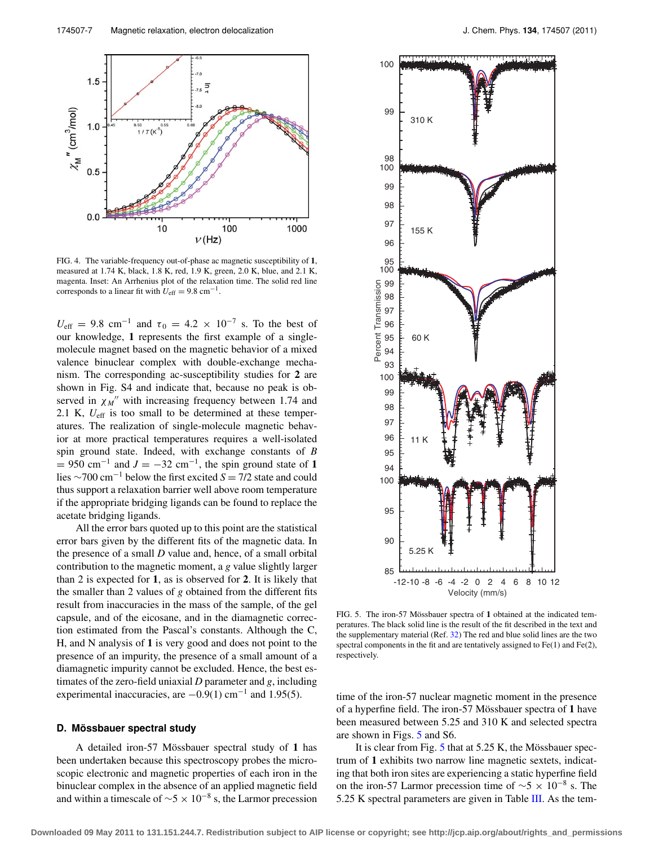<span id="page-6-0"></span>

FIG. 4. The variable-frequency out-of-phase ac magnetic susceptibility of **1**, measured at 1.74 K, black, 1.8 K, red, 1.9 K, green, 2.0 K, blue, and 2.1 K, magenta. Inset: An Arrhenius plot of the relaxation time. The solid red line corresponds to a linear fit with  $U_{\text{eff}} = 9.8 \text{ cm}^{-1}$ .

 $U_{\text{eff}} = 9.8 \text{ cm}^{-1}$  and  $\tau_0 = 4.2 \times 10^{-7} \text{ s}$ . To the best of our knowledge, **1** represents the first example of a singlemolecule magnet based on the magnetic behavior of a mixed valence binuclear complex with double-exchange mechanism. The corresponding ac-susceptibility studies for **2** are shown in Fig. S4 and indicate that, because no peak is observed in  $\chi_M$ <sup>"</sup> with increasing frequency between 1.74 and 2.1 K, *U*eff is too small to be determined at these temperatures. The realization of single-molecule magnetic behavior at more practical temperatures requires a well-isolated spin ground state. Indeed, with exchange constants of *B*  $= 950$  cm<sup>-1</sup> and  $J = -32$  cm<sup>-1</sup>, the spin ground state of 1 lies <sup>∼</sup>700 cm−<sup>1</sup> below the first excited *<sup>S</sup>* <sup>=</sup> 7/2 state and could thus support a relaxation barrier well above room temperature if the appropriate bridging ligands can be found to replace the acetate bridging ligands.

All the error bars quoted up to this point are the statistical error bars given by the different fits of the magnetic data. In the presence of a small *D* value and, hence, of a small orbital contribution to the magnetic moment, a *g* value slightly larger than 2 is expected for **1**, as is observed for **2**. It is likely that the smaller than 2 values of *g* obtained from the different fits result from inaccuracies in the mass of the sample, of the gel capsule, and of the eicosane, and in the diamagnetic correction estimated from the Pascal's constants. Although the C, H, and N analysis of **1** is very good and does not point to the presence of an impurity, the presence of a small amount of a diamagnetic impurity cannot be excluded. Hence, the best estimates of the zero-field uniaxial *D* parameter and *g*, including experimental inaccuracies, are  $-0.9(1)$  cm<sup>-1</sup> and 1.95(5).

# **D. Mössbauer spectral study**

A detailed iron-57 Mössbauer spectral study of **1** has been undertaken because this spectroscopy probes the microscopic electronic and magnetic properties of each iron in the binuclear complex in the absence of an applied magnetic field and within a timescale of  $\sim$ 5 × 10<sup>-8</sup> s, the Larmor precession

<span id="page-6-1"></span>

FIG. 5. The iron-57 Mössbauer spectra of **1** obtained at the indicated temperatures. The black solid line is the result of the fit described in the text and the supplementary material (Ref. [32\)](#page-12-12) The red and blue solid lines are the two spectral components in the fit and are tentatively assigned to  $Fe(1)$  and  $Fe(2)$ , respectively.

time of the iron-57 nuclear magnetic moment in the presence of a hyperfine field. The iron-57 Mössbauer spectra of **1** have been measured between 5.25 and 310 K and selected spectra are shown in Figs. [5](#page-6-1) and S6.

It is clear from Fig. [5](#page-6-1) that at 5.25 K, the Mössbauer spectrum of **1** exhibits two narrow line magnetic sextets, indicating that both iron sites are experiencing a static hyperfine field on the iron-57 Larmor precession time of  $\sim$ 5 × 10<sup>-8</sup> s. The 5.25 K spectral parameters are given in Table [III.](#page-7-0) As the tem-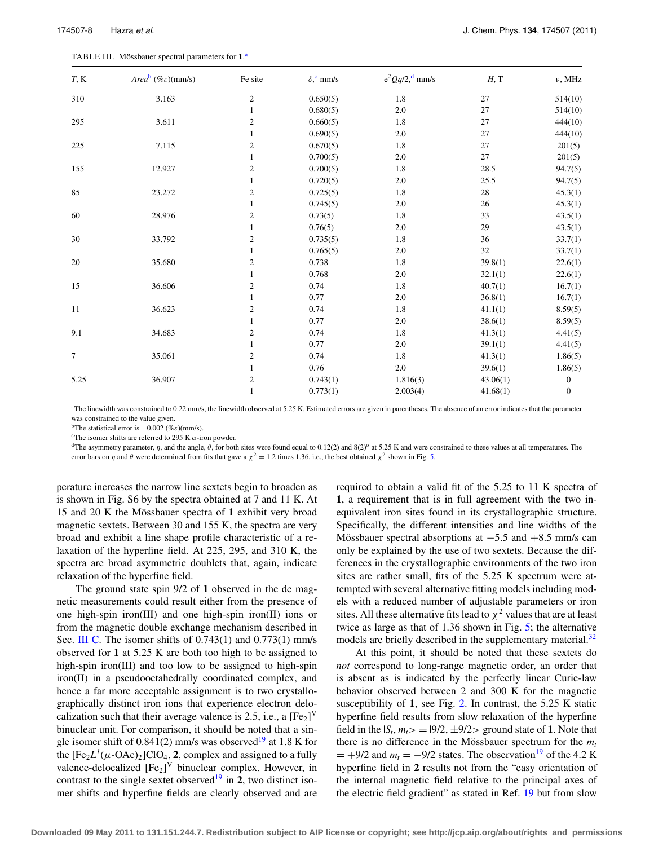<span id="page-7-0"></span>

|  | TABLE III. Mössbauer spectral parameters for 1. <sup>a</sup> |  |  |
|--|--------------------------------------------------------------|--|--|
|--|--------------------------------------------------------------|--|--|

| T, K | Area <sup>b</sup> (% $\varepsilon$ )(mm/s) | Fe site          | $\delta$ , mm/s | $e^2 Qq/2$ , <sup>d</sup> mm/s | H, T     | $\nu$ , MHz      |
|------|--------------------------------------------|------------------|-----------------|--------------------------------|----------|------------------|
| 310  | 3.163                                      | $\boldsymbol{2}$ | 0.650(5)        | 1.8                            | 27       | 514(10)          |
|      |                                            | $\mathbf{1}$     | 0.680(5)        | $2.0\,$                        | 27       | 514(10)          |
| 295  | 3.611                                      | $\sqrt{2}$       | 0.660(5)        | 1.8                            | 27       | 444(10)          |
|      |                                            | 1                | 0.690(5)        | 2.0                            | 27       | 444(10)          |
| 225  | 7.115                                      | $\boldsymbol{2}$ | 0.670(5)        | 1.8                            | 27       | 201(5)           |
|      |                                            | 1                | 0.700(5)        | 2.0                            | 27       | 201(5)           |
| 155  | 12.927                                     | $\overline{c}$   | 0.700(5)        | 1.8                            | 28.5     | 94.7(5)          |
|      |                                            | 1                | 0.720(5)        | 2.0                            | 25.5     | 94.7(5)          |
| 85   | 23.272                                     | $\sqrt{2}$       | 0.725(5)        | 1.8                            | 28       | 45.3(1)          |
|      |                                            | $\mathbf{1}$     | 0.745(5)        | 2.0                            | 26       | 45.3(1)          |
| 60   | 28.976                                     | $\mathbf{2}$     | 0.73(5)         | 1.8                            | 33       | 43.5(1)          |
|      |                                            | $\mathbf{1}$     | 0.76(5)         | $2.0\,$                        | 29       | 43.5(1)          |
| 30   | 33.792                                     | $\boldsymbol{2}$ | 0.735(5)        | 1.8                            | 36       | 33.7(1)          |
|      |                                            | 1                | 0.765(5)        | $2.0\,$                        | 32       | 33.7(1)          |
| 20   | 35.680                                     | $\sqrt{2}$       | 0.738           | 1.8                            | 39.8(1)  | 22.6(1)          |
|      |                                            | $\mathbf{1}$     | 0.768           | 2.0                            | 32.1(1)  | 22.6(1)          |
| 15   | 36.606                                     | $\sqrt{2}$       | 0.74            | $1.8\,$                        | 40.7(1)  | 16.7(1)          |
|      |                                            | 1                | 0.77            | 2.0                            | 36.8(1)  | 16.7(1)          |
| 11   | 36.623                                     | $\sqrt{2}$       | 0.74            | 1.8                            | 41.1(1)  | 8.59(5)          |
|      |                                            | 1                | 0.77            | 2.0                            | 38.6(1)  | 8.59(5)          |
| 9.1  | 34.683                                     | $\sqrt{2}$       | 0.74            | 1.8                            | 41.3(1)  | 4.41(5)          |
|      |                                            | $\mathbf{1}$     | 0.77            | $2.0\,$                        | 39.1(1)  | 4.41(5)          |
| 7    | 35.061                                     | $\overline{2}$   | 0.74            | 1.8                            | 41.3(1)  | 1.86(5)          |
|      |                                            | 1                | 0.76            | $2.0\,$                        | 39.6(1)  | 1.86(5)          |
| 5.25 | 36.907                                     | $\sqrt{2}$       | 0.743(1)        | 1.816(3)                       | 43.06(1) | $\boldsymbol{0}$ |
|      |                                            | 1                | 0.773(1)        | 2.003(4)                       | 41.68(1) | $\boldsymbol{0}$ |

<span id="page-7-1"></span><sup>a</sup>The linewidth was constrained to 0.22 mm/s, the linewidth observed at 5.25 K. Estimated errors are given in parentheses. The absence of an error indicates that the parameter was constrained to the value given.

<span id="page-7-2"></span><sup>b</sup>The statistical error is  $\pm 0.002$  (%*ε*)(mm/s).<br><sup>c</sup>The isomer shifts are referred to 295 K α-iron powder.

<span id="page-7-4"></span><span id="page-7-3"></span><sup>d</sup>The asymmetry parameter,  $\eta$ , and the angle,  $\theta$ , for both sites were found equal to 0.12(2) and 8(2)<sup>o</sup> at 5.25 K and were constrained to these values at all temperatures. The error bars on  $\eta$  and  $\theta$  were determined from fits that gave a  $\chi^2 = 1.2$  times 1.36, i.e., the best obtained  $\chi^2$  shown in Fig. [5.](#page-6-1)

perature increases the narrow line sextets begin to broaden as is shown in Fig. S6 by the spectra obtained at 7 and 11 K. At 15 and 20 K the Mössbauer spectra of **1** exhibit very broad magnetic sextets. Between 30 and 155 K, the spectra are very broad and exhibit a line shape profile characteristic of a relaxation of the hyperfine field. At 225, 295, and 310 K, the spectra are broad asymmetric doublets that, again, indicate relaxation of the hyperfine field.

The ground state spin 9/2 of **1** observed in the dc magnetic measurements could result either from the presence of one high-spin iron(III) and one high-spin iron(II) ions or from the magnetic double exchange mechanism described in Sec. [III C.](#page-4-1) The isomer shifts of  $0.743(1)$  and  $0.773(1)$  mm/s observed for **1** at 5.25 K are both too high to be assigned to high-spin iron(III) and too low to be assigned to high-spin iron(II) in a pseudooctahedrally coordinated complex, and hence a far more acceptable assignment is to two crystallographically distinct iron ions that experience electron delocalization such that their average valence is 2.5, i.e., a  $[Fe<sub>2</sub>]$ <sup>V</sup> binuclear unit. For comparison, it should be noted that a single isomer shift of  $0.841(2)$  mm/s was observed<sup>[19](#page-12-8)</sup> at 1.8 K for the  $[Fe<sub>2</sub>L<sup>1</sup>(\mu$ -OAc)<sub>2</sub>]ClO<sub>4</sub>, **2**, complex and assigned to a fully valence-delocalized  $[Fe_2]$ <sup>V</sup> binuclear complex. However, in contrast to the single sextet observed<sup>19</sup> in 2, two distinct isomer shifts and hyperfine fields are clearly observed and are required to obtain a valid fit of the 5.25 to 11 K spectra of **1**, a requirement that is in full agreement with the two inequivalent iron sites found in its crystallographic structure. Specifically, the different intensities and line widths of the Mössbauer spectral absorptions at  $-5.5$  and  $+8.5$  mm/s can only be explained by the use of two sextets. Because the differences in the crystallographic environments of the two iron sites are rather small, fits of the 5.25 K spectrum were attempted with several alternative fitting models including models with a reduced number of adjustable parameters or iron sites. All these alternative fits lead to  $\chi^2$  values that are at least twice as large as that of 1.36 shown in Fig. [5;](#page-6-1) the alternative models are briefly described in the supplementary material.<sup>32</sup>

At this point, it should be noted that these sextets do *not* correspond to long-range magnetic order, an order that is absent as is indicated by the perfectly linear Curie-law behavior observed between 2 and 300 K for the magnetic susceptibility of **1**, see Fig. [2.](#page-4-0) In contrast, the 5.25 K static hyperfine field results from slow relaxation of the hyperfine field in the  $|S_t, m_t \rangle = |9/2, \pm 9/2 \rangle$  ground state of 1. Note that there is no difference in the Mössbauer spectrum for the  $m_t$  $= +9/2$  and  $m_t = -9/2$  states. The observation<sup>19</sup> of the 4.2 K hyperfine field in **2** results not from the "easy orientation of the internal magnetic field relative to the principal axes of the electric field gradient" as stated in Ref. [19](#page-12-8) but from slow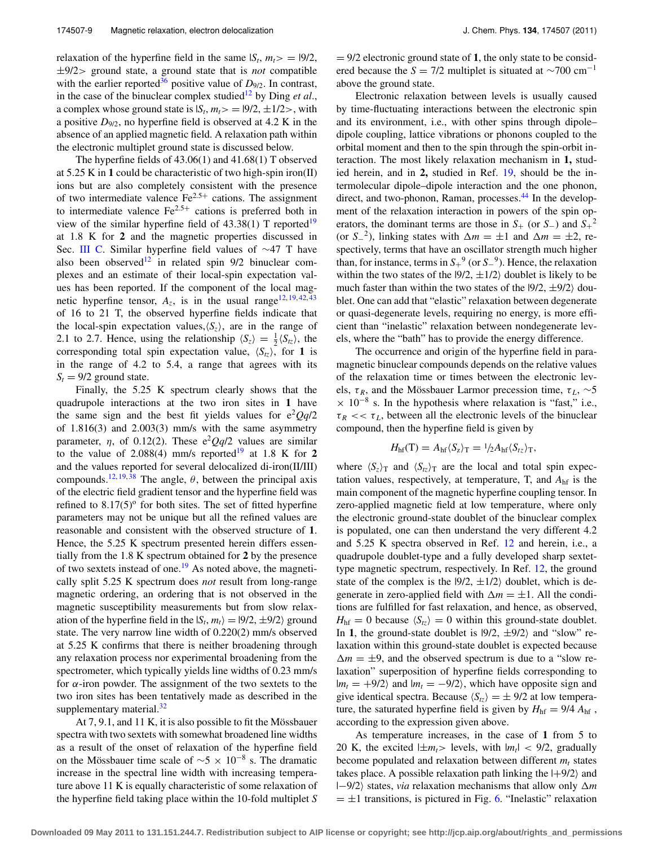relaxation of the hyperfine field in the same  $|S_t, m_t \rangle = |9/2,$ ±9/2> ground state, a ground state that is *not* compatible with the earlier reported<sup>36</sup> positive value of  $D_{9/2}$ . In contrast, in the case of the binuclear complex studied<sup>12</sup> by Ding *et al.*, a complex whose ground state is  $|S_t, m_t \rangle = |9/2, \pm 1/2 \rangle$ , with a positive  $D_{9/2}$ , no hyperfine field is observed at 4.2 K in the absence of an applied magnetic field. A relaxation path within the electronic multiplet ground state is discussed below.

The hyperfine fields of 43.06(1) and 41.68(1) T observed at 5.25 K in **1** could be characteristic of two high-spin iron(II) ions but are also completely consistent with the presence of two intermediate valence  $\text{Fe}^{2.5+}$  cations. The assignment to intermediate valence  $Fe^{2.5+}$  cations is preferred both in view of the similar hyperfine field of  $43.38(1)$  T reported<sup>19</sup> at 1.8 K for **2** and the magnetic properties discussed in Sec. [III C.](#page-4-1) Similar hyperfine field values of ∼47 T have also been observed<sup>12</sup> in related spin  $9/2$  binuclear complexes and an estimate of their local-spin expectation values has been reported. If the component of the local magnetic hyperfine tensor,  $A_z$ , is in the usual range<sup>12, [19,](#page-12-8) [42,](#page-12-23) [43](#page-12-24)</sup> of 16 to 21 T, the observed hyperfine fields indicate that the local-spin expectation values, $\langle S_z \rangle$ , are in the range of 2.1 to 2.7. Hence, using the relationship  $\langle S_z \rangle = \frac{1}{2} \langle S_{tz} \rangle$ , the corresponding total spin expectation value,  $\langle S_{tz} \rangle$ , for **1** is in the range of 4.2 to 5.4, a range that agrees with its  $S_t = 9/2$  ground state.

Finally, the 5.25 K spectrum clearly shows that the quadrupole interactions at the two iron sites in **1** have the same sign and the best fit yields values for  $e^2Qq/2$ of 1.816(3) and 2.003(3) mm/s with the same asymmetry parameter,  $\eta$ , of 0.12(2). These  $e^2Qq/2$  values are similar to the value of 2.088(4) mm/s reported<sup>[19](#page-12-8)</sup> at 1.8 K for 2 and the values reported for several delocalized di-iron(II/III) compounds.<sup>12, [19,](#page-12-8)[38](#page-12-19)</sup> The angle,  $\theta$ , between the principal axis of the electric field gradient tensor and the hyperfine field was refined to  $8.17(5)$ <sup>o</sup> for both sites. The set of fitted hyperfine parameters may not be unique but all the refined values are reasonable and consistent with the observed structure of **1**. Hence, the 5.25 K spectrum presented herein differs essentially from the 1.8 K spectrum obtained for **2** by the presence of two sextets instead of one.<sup>[19](#page-12-8)</sup> As noted above, the magnetically split 5.25 K spectrum does *not* result from long-range magnetic ordering, an ordering that is not observed in the magnetic susceptibility measurements but from slow relaxation of the hyperfine field in the  $|S_t, m_t\rangle = |9/2, \pm 9/2\rangle$  ground state. The very narrow line width of 0.220(2) mm/s observed at 5.25 K confirms that there is neither broadening through any relaxation process nor experimental broadening from the spectrometer, which typically yields line widths of 0.23 mm/s for  $\alpha$ -iron powder. The assignment of the two sextets to the two iron sites has been tentatively made as described in the supplementary material. $32$ 

At 7, 9.1, and 11 K, it is also possible to fit the Mössbauer spectra with two sextets with somewhat broadened line widths as a result of the onset of relaxation of the hyperfine field on the Mössbauer time scale of  $\sim$ 5 × 10<sup>-8</sup> s. The dramatic increase in the spectral line width with increasing temperature above 11 K is equally characteristic of some relaxation of the hyperfine field taking place within the 10-fold multiplet *S* = 9/2 electronic ground state of **1**, the only state to be considered because the  $S = 7/2$  multiplet is situated at  $\sim$ 700 cm<sup>-1</sup> above the ground state.

Electronic relaxation between levels is usually caused by time-fluctuating interactions between the electronic spin and its environment, i.e., with other spins through dipole– dipole coupling, lattice vibrations or phonons coupled to the orbital moment and then to the spin through the spin-orbit interaction. The most likely relaxation mechanism in **1,** studied herein, and in **2,** studied in Ref. [19,](#page-12-8) should be the intermolecular dipole–dipole interaction and the one phonon, direct, and two-phonon, Raman, processes.<sup>[44](#page-12-25)</sup> In the development of the relaxation interaction in powers of the spin operators, the dominant terms are those in  $S_+$  (or  $S_-$ ) and  $S_+^2$ (or  $S_2$ <sup>2</sup>), linking states with  $\Delta m = \pm 1$  and  $\Delta m = \pm 2$ , respectively, terms that have an oscillator strength much higher than, for instance, terms in *S*<sup>+</sup> <sup>9</sup> (or *S*−9). Hence, the relaxation within the two states of the  $|9/2, \pm 1/2\rangle$  doublet is likely to be much faster than within the two states of the  $|9/2, \pm 9/2\rangle$  doublet. One can add that "elastic" relaxation between degenerate or quasi-degenerate levels, requiring no energy, is more efficient than "inelastic" relaxation between nondegenerate levels, where the "bath" has to provide the energy difference.

The occurrence and origin of the hyperfine field in paramagnetic binuclear compounds depends on the relative values of the relaxation time or times between the electronic levels,  $\tau_R$ , and the Mössbauer Larmor precession time,  $\tau_L$ , ~5  $\times$  10<sup>-8</sup> s. In the hypothesis where relaxation is "fast," i.e.,  $\tau_R \ll \tau_L$ , between all the electronic levels of the binuclear compound, then the hyperfine field is given by

$$
H_{\rm hf}(T) = A_{\rm hf} \langle S_z \rangle_T = \frac{1}{2} A_{\rm hf} \langle S_{tz} \rangle_T,
$$

where  $\langle S_z \rangle_T$  and  $\langle S_{tz} \rangle_T$  are the local and total spin expectation values, respectively, at temperature, T, and *A*hf is the main component of the magnetic hyperfine coupling tensor. In zero-applied magnetic field at low temperature, where only the electronic ground-state doublet of the binuclear complex is populated, one can then understand the very different 4.2 and 5.25 K spectra observed in Ref. [12](#page-11-8) and herein, i.e., a quadrupole doublet-type and a fully developed sharp sextettype magnetic spectrum, respectively. In Ref. [12,](#page-11-8) the ground state of the complex is the  $|9/2, \pm 1/2\rangle$  doublet, which is degenerate in zero-applied field with  $\Delta m = \pm 1$ . All the conditions are fulfilled for fast relaxation, and hence, as observed,  $H_{\text{hf}} = 0$  because  $\langle S_{tz} \rangle = 0$  within this ground-state doublet. In 1, the ground-state doublet is  $|9/2, \pm 9/2\rangle$  and "slow" relaxation within this ground-state doublet is expected because  $\Delta m = \pm 9$ , and the observed spectrum is due to a "slow relaxation" superposition of hyperfine fields corresponding to  $|m_t = +9/2\rangle$  and  $|m_t = -9/2\rangle$ , which have opposite sign and give identical spectra. Because  $\langle S_{tz}\rangle=\pm 9/2$  at low temperature, the saturated hyperfine field is given by  $H_{\text{hf}} = 9/4 A_{\text{hf}}$ , according to the expression given above.

As temperature increases, in the case of **1** from 5 to 20 K, the excited  $|\pm m_t\rangle$  levels, with  $|m_t| < 9/2$ , gradually become populated and relaxation between different  $m_t$  states takes place. A possible relaxation path linking the  $|+9/2\rangle$  and |−9/2 states, *via* relaxation mechanisms that allow only *m*  $= \pm 1$  transitions, is pictured in Fig. [6.](#page-9-0) "Inelastic" relaxation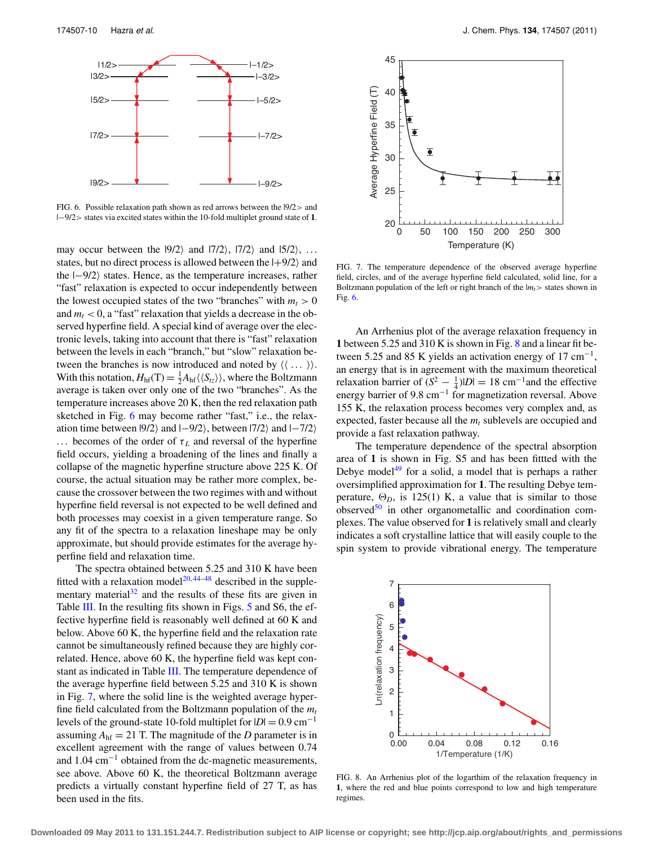<span id="page-9-0"></span>

FIG. 6. Possible relaxation path shown as red arrows between the |9/2> and |−9/2> states via excited states within the 10-fold multiplet ground state of **1**.

may occur between the  $|9/2\rangle$  and  $|7/2\rangle$ ,  $|7/2\rangle$  and  $|5/2\rangle$ , ... states, but no direct process is allowed between the  $|+9/2\rangle$  and the  $|-9/2\rangle$  states. Hence, as the temperature increases, rather "fast" relaxation is expected to occur independently between the lowest occupied states of the two "branches" with  $m_t > 0$ and  $m_t < 0$ , a "fast" relaxation that yields a decrease in the observed hyperfine field. A special kind of average over the electronic levels, taking into account that there is "fast" relaxation between the levels in each "branch," but "slow" relaxation between the branches is now introduced and noted by  $( \langle \dots \rangle ).$ With this notation,  $H<sub>hf</sub>(T) = \frac{1}{2} A<sub>hf</sub> \langle \langle S_{tz} \rangle \rangle$ , where the Boltzmann average is taken over only one of the two "branches". As the temperature increases above 20 K, then the red relaxation path sketched in Fig. [6](#page-9-0) may become rather "fast," i.e., the relaxation time between  $|9/2\rangle$  and  $|-9/2\rangle$ , between  $|7/2\rangle$  and  $|-7/2\rangle$ ... becomes of the order of  $\tau_L$  and reversal of the hyperfine field occurs, yielding a broadening of the lines and finally a collapse of the magnetic hyperfine structure above 225 K. Of course, the actual situation may be rather more complex, because the crossover between the two regimes with and without hyperfine field reversal is not expected to be well defined and both processes may coexist in a given temperature range. So any fit of the spectra to a relaxation lineshape may be only approximate, but should provide estimates for the average hyperfine field and relaxation time.

The spectra obtained between 5.25 and 310 K have been fitted with a relaxation model<sup>[20,](#page-12-9)[44](#page-12-25)[–48](#page-12-26)</sup> described in the supple-mentary material<sup>[32](#page-12-12)</sup> and the results of these fits are given in Table  $III$ . In the resulting fits shown in Figs. [5](#page-6-1) and S6, the effective hyperfine field is reasonably well defined at 60 K and below. Above 60 K, the hyperfine field and the relaxation rate cannot be simultaneously refined because they are highly correlated. Hence, above 60 K, the hyperfine field was kept con-stant as indicated in Table [III.](#page-7-0) The temperature dependence of the average hyperfine field between 5.25 and 310 K is shown in Fig. [7,](#page-9-1) where the solid line is the weighted average hyperfine field calculated from the Boltzmann population of the  $m_t$ levels of the ground-state 10-fold multiplet for  $|D| = 0.9$  cm<sup>-1</sup> assuming  $A<sub>hf</sub> = 21$  T. The magnitude of the *D* parameter is in excellent agreement with the range of values between 0.74 and  $1.04 \text{ cm}^{-1}$  obtained from the dc-magnetic measurements, see above. Above 60 K, the theoretical Boltzmann average predicts a virtually constant hyperfine field of 27 T, as has been used in the fits.

<span id="page-9-1"></span>

FIG. 7. The temperature dependence of the observed average hyperfine field, circles, and of the average hyperfine field calculated, solid line, for a Boltzmann population of the left or right branch of the  $|m_t$  states shown in Fig. [6.](#page-9-0)

An Arrhenius plot of the average relaxation frequency in **1** between 5.25 and 310 K is shown in Fig. [8](#page-9-2) and a linear fit between 5.25 and 85 K yields an activation energy of 17 cm<sup>-1</sup>, an energy that is in agreement with the maximum theoretical relaxation barrier of  $(S^2 - \frac{1}{4})$ |*D*| = 18 cm<sup>-1</sup> and the effective energy barrier of 9.8 cm<sup>-1</sup> for magnetization reversal. Above 155 K, the relaxation process becomes very complex and, as expected, faster because all the  $m_t$  sublevels are occupied and provide a fast relaxation pathway.

The temperature dependence of the spectral absorption area of **1** is shown in Fig. S5 and has been fittted with the Debye model<sup>[49](#page-12-27)</sup> for a solid, a model that is perhaps a rather oversimplified approximation for **1**. The resulting Debye temperature,  $\Theta_D$ , is 125(1) K, a value that is similar to those observed $50$  in other organometallic and coordination complexes. The value observed for **1** is relatively small and clearly indicates a soft crystalline lattice that will easily couple to the spin system to provide vibrational energy. The temperature

<span id="page-9-2"></span>

FIG. 8. An Arrhenius plot of the logarthim of the relaxation frequency in **1**, where the red and blue points correspond to low and high temperature regimes.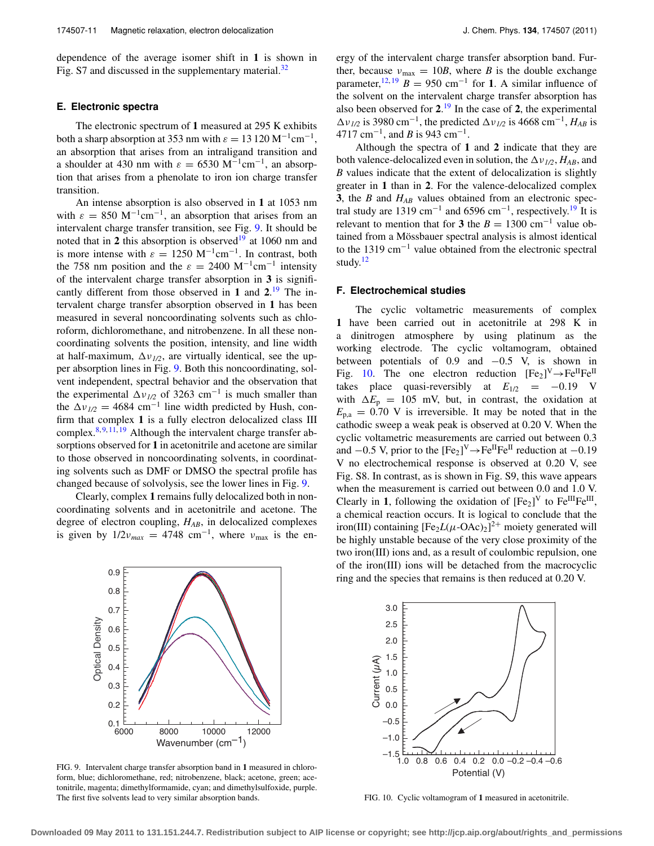dependence of the average isomer shift in **1** is shown in Fig. S7 and discussed in the supplementary material. $32$ 

## **E. Electronic spectra**

The electronic spectrum of **1** measured at 295 K exhibits both a sharp absorption at 353 nm with  $\varepsilon = 13\,120\,\mathrm{M^{-1}cm^{-1}}$ , an absorption that arises from an intraligand transition and a shoulder at 430 nm with  $\varepsilon = 6530 \text{ M}^{-1} \text{cm}^{-1}$ , an absorption that arises from a phenolate to iron ion charge transfer transition.

An intense absorption is also observed in **1** at 1053 nm with  $\varepsilon = 850 \text{ M}^{-1} \text{cm}^{-1}$ , an absorption that arises from an intervalent charge transfer transition, see Fig. [9.](#page-10-0) It should be noted that in 2 this absorption is observed<sup>19</sup> at 1060 nm and is more intense with  $\varepsilon = 1250 \text{ M}^{-1} \text{cm}^{-1}$ . In contrast, both the 758 nm position and the  $\varepsilon = 2400 \text{ M}^{-1} \text{cm}^{-1}$  intensity of the intervalent charge transfer absorption in **3** is significantly different from those observed in **1** and **2**. [19](#page-12-8) The intervalent charge transfer absorption observed in **1** has been measured in several noncoordinating solvents such as chloroform, dichloromethane, and nitrobenzene. In all these noncoordinating solvents the position, intensity, and line width at half-maximum,  $\Delta v_{1/2}$ , are virtually identical, see the upper absorption lines in Fig. [9.](#page-10-0) Both this noncoordinating, solvent independent, spectral behavior and the observation that the experimental  $\Delta v_{1/2}$  of 3263 cm<sup>-1</sup> is much smaller than the  $\Delta v_{1/2} = 4684$  cm<sup>-1</sup> line width predicted by Hush, confirm that complex **1** is a fully electron delocalized class III complex.  $8, 9, 11, 19$  $8, 9, 11, 19$  $8, 9, 11, 19$  $8, 9, 11, 19$  $8, 9, 11, 19$  $8, 9, 11, 19$  Although the intervalent charge transfer absorptions observed for **1** in acetonitrile and acetone are similar to those observed in noncoordinating solvents, in coordinating solvents such as DMF or DMSO the spectral profile has changed because of solvolysis, see the lower lines in Fig. [9.](#page-10-0)

Clearly, complex **1** remains fully delocalized both in noncoordinating solvents and in acetonitrile and acetone. The degree of electron coupling, *HAB*, in delocalized complexes is given by  $1/2v_{max} = 4748$  cm<sup>-1</sup>, where  $v_{max}$  is the energy of the intervalent charge transfer absorption band. Further, because  $v_{\text{max}} = 10B$ , where *B* is the double exchange parameter,<sup>[12,](#page-11-8) [19](#page-12-8)</sup> *B* = 950 cm<sup>-1</sup> for **1**. A similar influence of the solvent on the intervalent charge transfer absorption has also been observed for **2**. [19](#page-12-8) In the case of **2**, the experimental  $\Delta v_{1/2}$  is 3980 cm<sup>-1</sup>, the predicted  $\Delta v_{1/2}$  is 4668 cm<sup>-1</sup>, *H<sub>AB</sub>* is 4717 cm−1, and *B* is 943 cm−1.

Although the spectra of **1** and **2** indicate that they are both valence-delocalized even in solution, the  $\Delta v_{1/2}$ ,  $H_{AB}$ , and *B* values indicate that the extent of delocalization is slightly greater in **1** than in **2**. For the valence-delocalized complex **3**, the *B* and *HAB* values obtained from an electronic spectral study are 1319 cm<sup>-1</sup> and 6596 cm<sup>-1</sup>, respectively.<sup>19</sup> It is relevant to mention that for **3** the  $B = 1300 \text{ cm}^{-1}$  value obtained from a Mössbauer spectral analysis is almost identical to the 1319 cm−<sup>1</sup> value obtained from the electronic spectral study. $12$ 

## **F. Electrochemical studies**

The cyclic voltametric measurements of complex **1** have been carried out in acetonitrile at 298 K in a dinitrogen atmosphere by using platinum as the working electrode. The cyclic voltamogram, obtained between potentials of  $0.9$  and  $-0.5$  V, is shown in Fig. [10.](#page-10-1) The one electron reduction  $[Fe_2]^V \rightarrow Fe^{II}Fe^{II}$ takes place quasi-reversibly at  $E_{1/2} = -0.19$  V with  $\Delta E_p$  = 105 mV, but, in contrast, the oxidation at  $E_{\text{p,a}} = 0.70$  V is irreversible. It may be noted that in the cathodic sweep a weak peak is observed at 0.20 V. When the cyclic voltametric measurements are carried out between 0.3 and  $-0.5$  V, prior to the  $[Fe_2]^V \rightarrow Fe^{II}Fe^{II}$  reduction at  $-0.19$ V no electrochemical response is observed at 0.20 V, see Fig. S8. In contrast, as is shown in Fig. S9, this wave appears when the measurement is carried out between 0.0 and 1.0 V. Clearly in **1**, following the oxidation of  $[Fe_2]^\text{V}$  to  $Fe^{III}Fe^{III}$ , a chemical reaction occurs. It is logical to conclude that the iron(III) containing  $[Fe<sub>2</sub>L(\mu-OAc)<sub>2</sub>]$ <sup>2+</sup> moiety generated will be highly unstable because of the very close proximity of the two iron(III) ions and, as a result of coulombic repulsion, one of the iron(III) ions will be detached from the macrocyclic ring and the species that remains is then reduced at 0.20 V.

<span id="page-10-0"></span>

FIG. 9. Intervalent charge transfer absorption band in **1** measured in chloroform, blue; dichloromethane, red; nitrobenzene, black; acetone, green; acetonitrile, magenta; dimethylformamide, cyan; and dimethylsulfoxide, purple. The first five solvents lead to very similar absorption bands.

<span id="page-10-1"></span>

FIG. 10. Cyclic voltamogram of **1** measured in acetonitrile.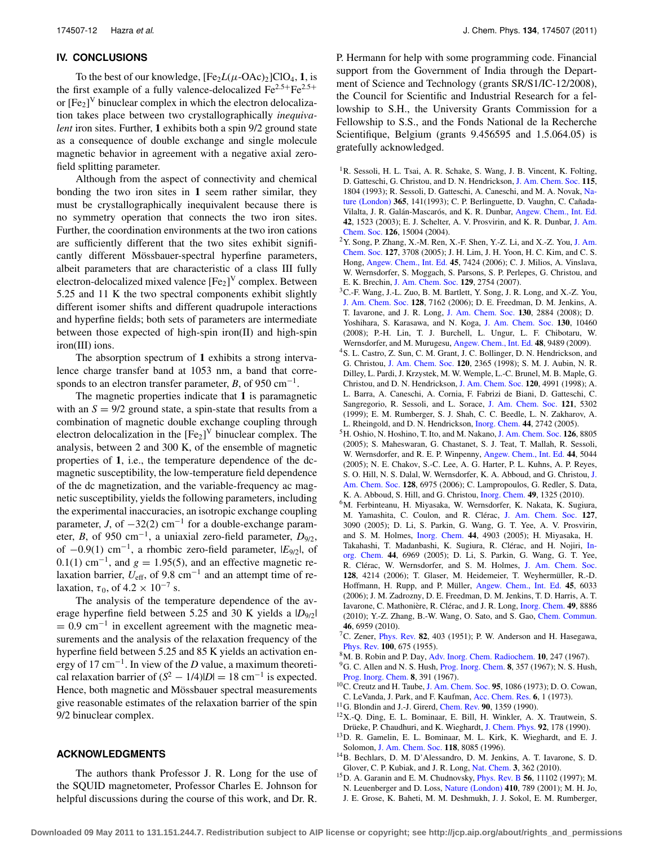## **IV. CONCLUSIONS**

To the best of our knowledge,  $[Fe<sub>2</sub>L(\mu-OAc)<sub>2</sub>]ClO<sub>4</sub>$ , **1**, is the first example of a fully valence-delocalized  $\text{Fe}^{2.5+}\text{Fe}^{2.5+}$ or  $[Fe_2]$ <sup>V</sup> binuclear complex in which the electron delocalization takes place between two crystallographically *inequivalent* iron sites. Further, **1** exhibits both a spin 9/2 ground state as a consequence of double exchange and single molecule magnetic behavior in agreement with a negative axial zerofield splitting parameter.

Although from the aspect of connectivity and chemical bonding the two iron sites in **1** seem rather similar, they must be crystallographically inequivalent because there is no symmetry operation that connects the two iron sites. Further, the coordination environments at the two iron cations are sufficiently different that the two sites exhibit significantly different Mössbauer-spectral hyperfine parameters, albeit parameters that are characteristic of a class III fully electron-delocalized mixed valence  $[{\rm Fe}_2]^{\rm V}$  complex. Between 5.25 and 11 K the two spectral components exhibit slightly different isomer shifts and different quadrupole interactions and hyperfine fields; both sets of parameters are intermediate between those expected of high-spin iron(II) and high-spin iron(III) ions.

The absorption spectrum of **1** exhibits a strong intervalence charge transfer band at 1053 nm, a band that corresponds to an electron transfer parameter, *B*, of 950 cm<sup>-1</sup>.

The magnetic properties indicate that **1** is paramagnetic with an  $S = 9/2$  ground state, a spin-state that results from a combination of magnetic double exchange coupling through electron delocalization in the  $[Fe_2]$ <sup>V</sup> binuclear complex. The analysis, between 2 and 300 K, of the ensemble of magnetic properties of **1**, i.e., the temperature dependence of the dcmagnetic susceptibility, the low-temperature field dependence of the dc magnetization, and the variable-frequency ac magnetic susceptibility, yields the following parameters, including the experimental inaccuracies, an isotropic exchange coupling parameter, *J*, of  $-32(2)$  cm<sup>-1</sup> for a double-exchange parameter, *B*, of 950 cm<sup>-1</sup>, a uniaxial zero-field parameter,  $D_{9/2}$ , of <sup>−</sup>0.9(1) cm−1, a rhombic zero-field parameter, |*E*9/2|, of 0.1(1) cm<sup>-1</sup>, and  $g = 1.95(5)$ , and an effective magnetic relaxation barrier, *U*eff, of 9.8 cm−<sup>1</sup> and an attempt time of relaxation,  $\tau_0$ , of 4.2 × 10<sup>-7</sup> s.

The analysis of the temperature dependence of the average hyperfine field between 5.25 and 30 K yields a  $|D_{9/2}|$  $= 0.9$  cm<sup>-1</sup> in excellent agreement with the magnetic measurements and the analysis of the relaxation frequency of the hyperfine field between 5.25 and 85 K yields an activation energy of 17 cm−1. In view of the *D* value, a maximum theoretical relaxation barrier of  $(S^2 - 1/4)|D| = 18$  cm<sup>-1</sup> is expected. Hence, both magnetic and Mössbauer spectral measurements give reasonable estimates of the relaxation barrier of the spin 9/2 binuclear complex.

## **ACKNOWLEDGMENTS**

The authors thank Professor J. R. Long for the use of the SQUID magnetometer, Professor Charles E. Johnson for helpful discussions during the course of this work, and Dr. R. P. Hermann for help with some programming code. Financial support from the Government of India through the Department of Science and Technology (grants SR/S1/IC-12/2008), the Council for Scientific and Industrial Research for a fellowship to S.H., the University Grants Commission for a Fellowship to S.S., and the Fonds National de la Recherche Scientifique, Belgium (grants 9.456595 and 1.5.064.05) is gratefully acknowledged.

- <span id="page-11-0"></span><sup>1</sup>R. Sessoli, H. L. Tsai, A. R. Schake, S. Wang, J. B. Vincent, K. Folting, D. Gatteschi, G. Christou, and D. N. Hendrickson, [J. Am. Chem. Soc.](http://dx.doi.org/10.1021/ja00058a027) **115**, 1804 (1993); R. Sessoli, D. Gatteschi, A. Caneschi, and M. A. Novak, [Na](http://dx.doi.org/10.1038/365141a0)[ture \(London\)](http://dx.doi.org/10.1038/365141a0) **365**, 141(1993); C. P. Berlinguette, D. Vaughn, C. Cañada-Vilalta, J. R. Galán-Mascarós, and K. R. Dunbar, [Angew. Chem., Int. Ed.](http://dx.doi.org/10.1002/anie.200250479) **42**, 1523 (2003); E. J. Schelter, A. V. Prosvirin, and K. R. Dunbar, [J. Am.](http://dx.doi.org/10.1021/ja047088r) [Chem. Soc.](http://dx.doi.org/10.1021/ja047088r) **126**, 15004 (2004).
- $2Y.$  Song, P. Zhang, X.-M. Ren, X.-F. Shen, Y.-Z. Li, and X.-Z. You, [J. Am.](http://dx.doi.org/10.1021/ja042334k) [Chem. Soc.](http://dx.doi.org/10.1021/ja042334k) **127**, 3708 (2005); J. H. Lim, J. H. Yoon, H. C. Kim, and C. S. Hong, [Angew. Chem., Int. Ed.](http://dx.doi.org/10.1002/anie.200601759) **45**, 7424 (2006); C. J. Milios, A. Vinslava, W. Wernsdorfer, S. Moggach, S. Parsons, S. P. Perlepes, G. Christou, and E. K. Brechin, [J. Am. Chem. Soc.](http://dx.doi.org/10.1021/ja068961m) **129**, 2754 (2007).
- <span id="page-11-1"></span><sup>3</sup>C.-F. Wang, J.-L. Zuo, B. M. Bartlett, Y. Song, J. R. Long, and X.-Z. You, [J. Am. Chem. Soc.](http://dx.doi.org/10.1021/ja061788+) **128**, 7162 (2006); D. E. Freedman, D. M. Jenkins, A. T. Iavarone, and J. R. Long, [J. Am. Chem. Soc.](http://dx.doi.org/10.1021/ja077527x) **130**, 2884 (2008); D. Yoshihara, S. Karasawa, and N. Koga, [J. Am. Chem. Soc.](http://dx.doi.org/10.1021/ja802895d) **130**, 10460 (2008); P.-H. Lin, T. J. Burchell, L. Ungur, L. F. Chibotaru, W. Wernsdorfer, and M. Murugesu, [Angew. Chem., Int. Ed.](http://dx.doi.org/10.1002/anie.200903199) **48**, 9489 (2009).
- <span id="page-11-2"></span>4S. L. Castro, Z. Sun, C. M. Grant, J. C. Bollinger, D. N. Hendrickson, and G. Christou, [J. Am. Chem. Soc.](http://dx.doi.org/10.1021/ja9732439) **120**, 2365 (1998); S. M. J. Aubin, N. R. Dilley, L. Pardi, J. Krzystek, M. W. Wemple, L.-C. Brunel, M. B. Maple, G. Christou, and D. N. Hendrickson, [J. Am. Chem. Soc.](http://dx.doi.org/10.1021/ja974241r) **120**, 4991 (1998); A. L. Barra, A. Caneschi, A. Cornia, F. Fabrizi de Biani, D. Gatteschi, C. Sangregorio, R. Sessoli, and L. Sorace, [J. Am. Chem. Soc.](http://dx.doi.org/10.1021/ja9818755) **121**, 5302 (1999); E. M. Rumberger, S. J. Shah, C. C. Beedle, L. N. Zakharov, A. L. Rheingold, and D. N. Hendrickson, [Inorg. Chem.](http://dx.doi.org/10.1021/ic048316l) **44**, 2742 (2005).
- <span id="page-11-3"></span>5H. Oshio, N. Hoshino, T. Ito, and M. Nakano, [J. Am. Chem. Soc.](http://dx.doi.org/10.1021/ja0487933) **126**, 8805 (2005); S. Maheswaran, G. Chastanet, S. J. Teat, T. Mallah, R. Sessoli, W. Wernsdorfer, and R. E. P. Winpenny, [Angew. Chem., Int. Ed.](http://dx.doi.org/10.1002/anie.200501265) **44**, 5044 (2005); N. E. Chakov, S.-C. Lee, A. G. Harter, P. L. Kuhns, A. P. Reyes, S. O. Hill, N. S. Dalal, W. Wernsdorfer, K. A. Abboud, and G. Christou, [J.](http://dx.doi.org/10.1021/ja060796n) [Am. Chem. Soc.](http://dx.doi.org/10.1021/ja060796n) **128**, 6975 (2006); C. Lampropoulos, G. Redler, S. Data, K. A. Abboud, S. Hill, and G. Christou, [Inorg. Chem.](http://dx.doi.org/10.1021/ic901480y) **49**, 1325 (2010).
- <span id="page-11-4"></span>6M. Ferbinteanu, H. Miyasaka, W. Wernsdorfer, K. Nakata, K. Sugiura, M. Yamashita, C. Coulon, and R. Clérac, [J. Am. Chem. Soc.](http://dx.doi.org/10.1021/ja0468123) **127**, 3090 (2005); D. Li, S. Parkin, G. Wang, G. T. Yee, A. V. Prosvirin, and S. M. Holmes, [Inorg. Chem.](http://dx.doi.org/10.1021/ic048367i) **44**, 4903 (2005); H. Miyasaka, H. Takahashi, T. Madanbashi, K. Sugiura, R. Clérac, and H. Nojiri, [In](http://dx.doi.org/10.1021/ic0505753)[org. Chem.](http://dx.doi.org/10.1021/ic0505753) **44**, 6969 (2005); D. Li, S. Parkin, G. Wang, G. T. Yee, R. Clérac, W. Wernsdorfer, and S. M. Holmes, [J. Am. Chem. Soc.](http://dx.doi.org/10.1021/ja058626i) **128**, 4214 (2006); T. Glaser, M. Heidemeier, T. Weyhermüller, R.-D. Hoffmann, H. Rupp, and P. Müller, [Angew. Chem., Int. Ed.](http://dx.doi.org/10.1002/anie.200600712) **45**, 6033 (2006); J. M. Zadrozny, D. E. Freedman, D. M. Jenkins, T. D. Harris, A. T. Iavarone, C. Mathonière, R. Clérac, and J. R. Long, [Inorg. Chem.](http://dx.doi.org/10.1021/ic101132z) **49**, 8886 (2010); Y.-Z. Zhang, B.-W. Wang, O. Sato, and S. Gao, [Chem. Commun.](http://dx.doi.org/10.1039/c0cc01581d) **46**, 6959 (2010).
- <span id="page-11-5"></span>7C. Zener, [Phys. Rev.](http://dx.doi.org/10.1103/PhysRev.82.403) **82**, 403 (1951); P. W. Anderson and H. Hasegawa, [Phys. Rev.](http://dx.doi.org/10.1103/PhysRev.100.675) **100**, 675 (1955).
- <span id="page-11-12"></span><span id="page-11-6"></span>8M. B. Robin and P. Day, [Adv. Inorg. Chem. Radiochem.](http://dx.doi.org/10.1016/S0065-2792(08)60179-X) **10**, 247 (1967).
- 9G. C. Allen and N. S. Hush, [Prog. Inorg. Chem.](http://dx.doi.org/10.1002/SERIES2229) **8**, 357 (1967); N. S. Hush, [Prog. Inorg. Chem.](http://dx.doi.org/10.1002/SERIES2229) **8**, 391 (1967).
- 10C. Creutz and H. Taube, [J. Am. Chem. Soc.](http://dx.doi.org/10.1021/ja00785a016) **95**, 1086 (1973); D. O. Cowan, C. LeVanda, J. Park, and F. Kaufman, [Acc. Chem. Res.](http://dx.doi.org/10.1021/ar50061a001) **6**, 1 (1973).
- <span id="page-11-8"></span><span id="page-11-7"></span>11G. Blondin and J.-J. Girerd, [Chem. Rev.](http://dx.doi.org/10.1021/cr00106a001) **90**, 1359 (1990).
- 12X.-Q. Ding, E. L. Bominaar, E. Bill, H. Winkler, A. X. Trautwein, S. Drüeke, P. Chaudhuri, and K. Wieghardt, [J. Chem. Phys.](http://dx.doi.org/10.1063/1.458460) **92**, 178 (1990).
- <span id="page-11-9"></span>13D. R. Gamelin, E. L. Bominaar, M. L. Kirk, K. Wieghardt, and E. J. Solomon, [J. Am. Chem. Soc.](http://dx.doi.org/10.1021/ja9536633) **118**, 8085 (1996).
- <span id="page-11-10"></span>14B. Bechlars, D. M. D'Alessandro, D. M. Jenkins, A. T. Iavarone, S. D. Glover, C. P. Kubiak, and J. R. Long, [Nat. Chem.](http://dx.doi.org/10.1038/nchem.585) **3**, 362 (2010).
- <span id="page-11-11"></span>15D. A. Garanin and E. M. Chudnovsky, [Phys. Rev. B](http://dx.doi.org/10.1103/PhysRevB.56.11102) **56**, 11102 (1997); M. N. Leuenberger and D. Loss, [Nature \(London\)](http://dx.doi.org/10.1038/35071024) **410**, 789 (2001); M. H. Jo, J. E. Grose, K. Baheti, M. M. Deshmukh, J. J. Sokol, E. M. Rumberger,